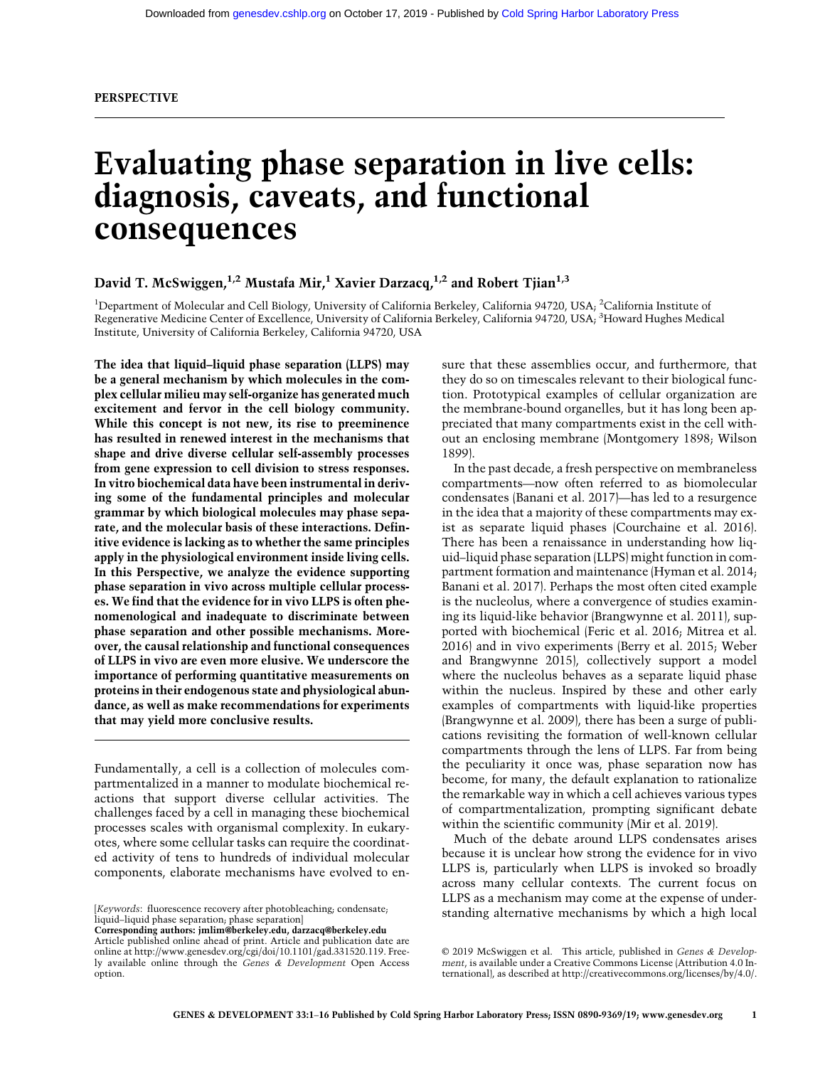# Evaluating phase separation in live cells: diagnosis, caveats, and functional consequences

# David T. McSwiggen,<sup>1,2</sup> Mustafa Mir,<sup>1</sup> Xavier Darzacq,<sup>1,2</sup> and Robert Tjian<sup>1,3</sup>

<sup>1</sup>Department of Molecular and Cell Biology, University of California Berkeley, California 94720, USA; <sup>2</sup>California Institute of Regenerative Medicine Center of Excellence, University of California Berkeley, California 94720, USA; <sup>3</sup>Howard Hughes Medical Institute, University of California Berkeley, California 94720, USA

The idea that liquid–liquid phase separation (LLPS) may be a general mechanism by which molecules in the complex cellular milieu may self-organize has generated much excitement and fervor in the cell biology community. While this concept is not new, its rise to preeminence has resulted in renewed interest in the mechanisms that shape and drive diverse cellular self-assembly processes from gene expression to cell division to stress responses. In vitro biochemical data have been instrumental in deriving some of the fundamental principles and molecular grammar by which biological molecules may phase separate, and the molecular basis of these interactions. Definitive evidence is lacking as to whether the same principles apply in the physiological environment inside living cells. In this Perspective, we analyze the evidence supporting phase separation in vivo across multiple cellular processes. We find that the evidence for in vivo LLPS is often phenomenological and inadequate to discriminate between phase separation and other possible mechanisms. Moreover, the causal relationship and functional consequences of LLPS in vivo are even more elusive. We underscore the importance of performing quantitative measurements on proteins in their endogenous state and physiological abundance, as well as make recommendations for experiments that may yield more conclusive results.

Fundamentally, a cell is a collection of molecules compartmentalized in a manner to modulate biochemical reactions that support diverse cellular activities. The challenges faced by a cell in managing these biochemical processes scales with organismal complexity. In eukaryotes, where some cellular tasks can require the coordinated activity of tens to hundreds of individual molecular components, elaborate mechanisms have evolved to en-

Corresponding authors: [jmlim@berkeley.edu,](mailto:jmlim@berkeley.edu) [darzacq@berkeley.edu](mailto:darzacq@berkeley.edu) Article published online ahead of print. Article and publication date are online at [http://www.genesdev.org/cgi/doi/10.1101/gad.331520.119.](http://www.genesdev.org/cgi/doi/10.1101/gad.331520.119) Freely available online through the Genes & Development Open Access option.

sure that these assemblies occur, and furthermore, that they do so on timescales relevant to their biological function. Prototypical examples of cellular organization are the membrane-bound organelles, but it has long been appreciated that many compartments exist in the cell without an enclosing membrane (Montgomery 1898; Wilson 1899).

In the past decade, a fresh perspective on membraneless compartments—now often referred to as biomolecular condensates (Banani et al. 2017)—has led to a resurgence in the idea that a majority of these compartments may exist as separate liquid phases (Courchaine et al. 2016). There has been a renaissance in understanding how liquid–liquid phase separation (LLPS) might function in compartment formation and maintenance (Hyman et al. 2014; Banani et al. 2017). Perhaps the most often cited example is the nucleolus, where a convergence of studies examining its liquid-like behavior (Brangwynne et al. 2011), supported with biochemical (Feric et al. 2016; Mitrea et al. 2016) and in vivo experiments (Berry et al. 2015; Weber and Brangwynne 2015), collectively support a model where the nucleolus behaves as a separate liquid phase within the nucleus. Inspired by these and other early examples of compartments with liquid-like properties (Brangwynne et al. 2009), there has been a surge of publications revisiting the formation of well-known cellular compartments through the lens of LLPS. Far from being the peculiarity it once was, phase separation now has become, for many, the default explanation to rationalize the remarkable way in which a cell achieves various types of compartmentalization, prompting significant debate within the scientific community (Mir et al. 2019).

Much of the debate around LLPS condensates arises because it is unclear how strong the evidence for in vivo LLPS is, particularly when LLPS is invoked so broadly across many cellular contexts. The current focus on LLPS as a mechanism may come at the expense of understanding alternative mechanisms by which a high local [Keywords: fluorescence recovery after photobleaching; condensate;

liquid–liquid phase separation; phase separation]

[<sup>© 2019</sup> McSwiggen et al.](http://genesdev.cshlp.org/site/misc/terms.xhtml) This article, published in Genes & Development, is available under a Creative Commons License (Attribution 4.0 International), as described at<http://creativecommons.org/licenses/by/4.0/>.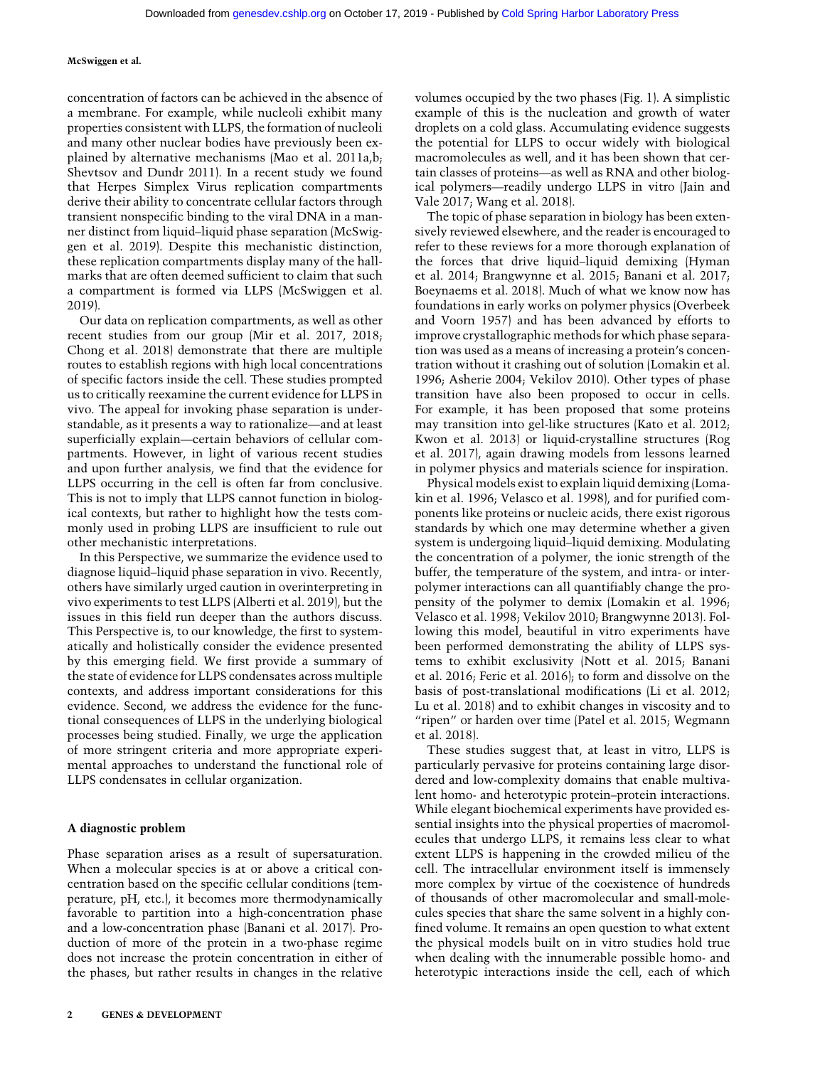concentration of factors can be achieved in the absence of a membrane. For example, while nucleoli exhibit many properties consistent with LLPS, the formation of nucleoli and many other nuclear bodies have previously been explained by alternative mechanisms (Mao et al. 2011a,b; Shevtsov and Dundr 2011). In a recent study we found that Herpes Simplex Virus replication compartments derive their ability to concentrate cellular factors through transient nonspecific binding to the viral DNA in a manner distinct from liquid–liquid phase separation (McSwiggen et al. 2019). Despite this mechanistic distinction, these replication compartments display many of the hallmarks that are often deemed sufficient to claim that such a compartment is formed via LLPS (McSwiggen et al. 2019).

Our data on replication compartments, as well as other recent studies from our group (Mir et al. 2017, 2018; Chong et al. 2018) demonstrate that there are multiple routes to establish regions with high local concentrations of specific factors inside the cell. These studies prompted us to critically reexamine the current evidence for LLPS in vivo. The appeal for invoking phase separation is understandable, as it presents a way to rationalize—and at least superficially explain—certain behaviors of cellular compartments. However, in light of various recent studies and upon further analysis, we find that the evidence for LLPS occurring in the cell is often far from conclusive. This is not to imply that LLPS cannot function in biological contexts, but rather to highlight how the tests commonly used in probing LLPS are insufficient to rule out other mechanistic interpretations.

In this Perspective, we summarize the evidence used to diagnose liquid–liquid phase separation in vivo. Recently, others have similarly urged caution in overinterpreting in vivo experiments to test LLPS (Alberti et al. 2019), but the issues in this field run deeper than the authors discuss. This Perspective is, to our knowledge, the first to systematically and holistically consider the evidence presented by this emerging field. We first provide a summary of the state of evidence for LLPS condensates across multiple contexts, and address important considerations for this evidence. Second, we address the evidence for the functional consequences of LLPS in the underlying biological processes being studied. Finally, we urge the application of more stringent criteria and more appropriate experimental approaches to understand the functional role of LLPS condensates in cellular organization.

## A diagnostic problem

Phase separation arises as a result of supersaturation. When a molecular species is at or above a critical concentration based on the specific cellular conditions (temperature, pH, etc.), it becomes more thermodynamically favorable to partition into a high-concentration phase and a low-concentration phase (Banani et al. 2017). Production of more of the protein in a two-phase regime does not increase the protein concentration in either of the phases, but rather results in changes in the relative volumes occupied by the two phases (Fig. 1). A simplistic example of this is the nucleation and growth of water droplets on a cold glass. Accumulating evidence suggests the potential for LLPS to occur widely with biological macromolecules as well, and it has been shown that certain classes of proteins—as well as RNA and other biological polymers—readily undergo LLPS in vitro (Jain and Vale 2017; Wang et al. 2018).

The topic of phase separation in biology has been extensively reviewed elsewhere, and the reader is encouraged to refer to these reviews for a more thorough explanation of the forces that drive liquid–liquid demixing (Hyman et al. 2014; Brangwynne et al. 2015; Banani et al. 2017; Boeynaems et al. 2018). Much of what we know now has foundations in early works on polymer physics (Overbeek and Voorn 1957) and has been advanced by efforts to improve crystallographic methods for which phase separation was used as a means of increasing a protein's concentration without it crashing out of solution (Lomakin et al. 1996; Asherie 2004; Vekilov 2010). Other types of phase transition have also been proposed to occur in cells. For example, it has been proposed that some proteins may transition into gel-like structures (Kato et al. 2012; Kwon et al. 2013) or liquid-crystalline structures (Rog et al. 2017), again drawing models from lessons learned in polymer physics and materials science for inspiration.

Physical models exist to explain liquid demixing (Lomakin et al. 1996; Velasco et al. 1998), and for purified components like proteins or nucleic acids, there exist rigorous standards by which one may determine whether a given system is undergoing liquid–liquid demixing. Modulating the concentration of a polymer, the ionic strength of the buffer, the temperature of the system, and intra- or interpolymer interactions can all quantifiably change the propensity of the polymer to demix (Lomakin et al. 1996; Velasco et al. 1998; Vekilov 2010; Brangwynne 2013). Following this model, beautiful in vitro experiments have been performed demonstrating the ability of LLPS systems to exhibit exclusivity (Nott et al. 2015; Banani et al. 2016; Feric et al. 2016); to form and dissolve on the basis of post-translational modifications (Li et al. 2012; Lu et al. 2018) and to exhibit changes in viscosity and to "ripen" or harden over time (Patel et al. 2015; Wegmann et al. 2018).

These studies suggest that, at least in vitro, LLPS is particularly pervasive for proteins containing large disordered and low-complexity domains that enable multivalent homo- and heterotypic protein–protein interactions. While elegant biochemical experiments have provided essential insights into the physical properties of macromolecules that undergo LLPS, it remains less clear to what extent LLPS is happening in the crowded milieu of the cell. The intracellular environment itself is immensely more complex by virtue of the coexistence of hundreds of thousands of other macromolecular and small-molecules species that share the same solvent in a highly confined volume. It remains an open question to what extent the physical models built on in vitro studies hold true when dealing with the innumerable possible homo- and heterotypic interactions inside the cell, each of which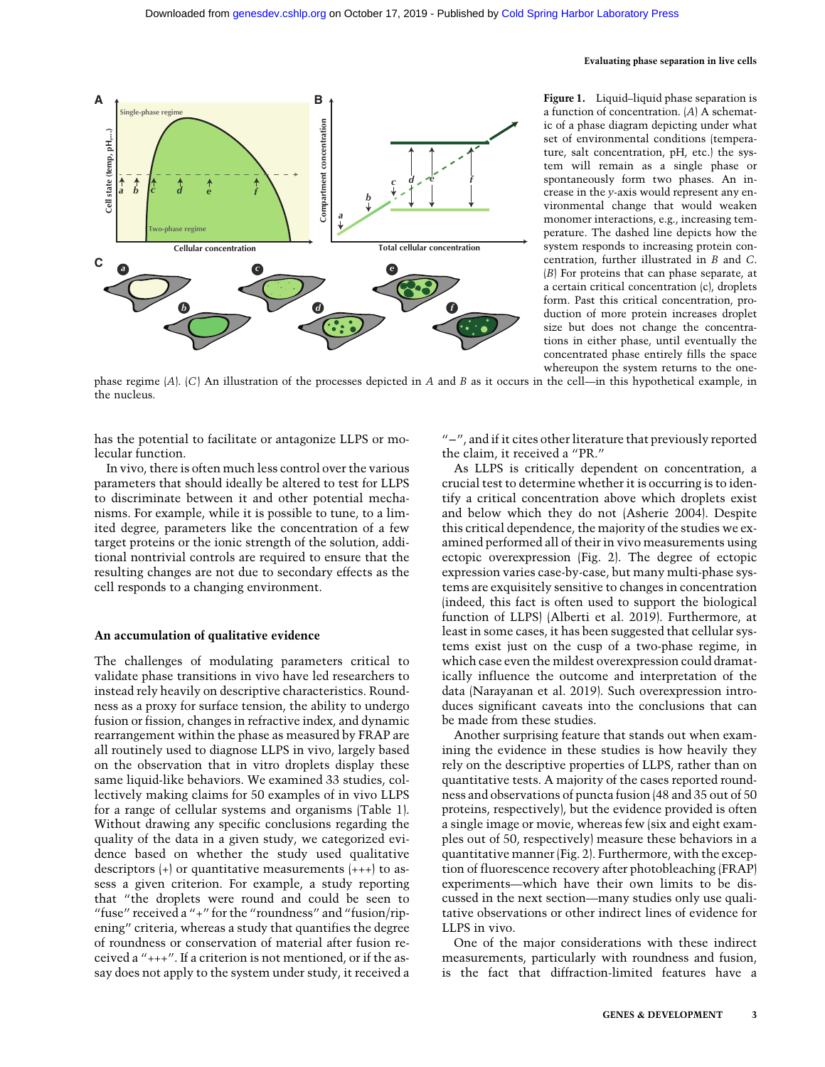

Figure 1. Liquid–liquid phase separation is a function of concentration. (A) A schematic of a phase diagram depicting under what set of environmental conditions (temperature, salt concentration, pH, etc.) the system will remain as a single phase or spontaneously form two phases. An increase in the y-axis would represent any environmental change that would weaken monomer interactions, e.g., increasing temperature. The dashed line depicts how the system responds to increasing protein concentration, further illustrated in B and C. (B) For proteins that can phase separate, at a certain critical concentration (c), droplets form. Past this critical concentration, production of more protein increases droplet size but does not change the concentrations in either phase, until eventually the concentrated phase entirely fills the space whereupon the system returns to the one-

phase regime  $[A]$ .  $[C]$  An illustration of the processes depicted in A and B as it occurs in the cell—in this hypothetical example, in the nucleus.

has the potential to facilitate or antagonize LLPS or molecular function.

In vivo, there is often much less control over the various parameters that should ideally be altered to test for LLPS to discriminate between it and other potential mechanisms. For example, while it is possible to tune, to a limited degree, parameters like the concentration of a few target proteins or the ionic strength of the solution, additional nontrivial controls are required to ensure that the resulting changes are not due to secondary effects as the cell responds to a changing environment.

#### An accumulation of qualitative evidence

The challenges of modulating parameters critical to validate phase transitions in vivo have led researchers to instead rely heavily on descriptive characteristics. Roundness as a proxy for surface tension, the ability to undergo fusion or fission, changes in refractive index, and dynamic rearrangement within the phase as measured by FRAP are all routinely used to diagnose LLPS in vivo, largely based on the observation that in vitro droplets display these same liquid-like behaviors. We examined 33 studies, collectively making claims for 50 examples of in vivo LLPS for a range of cellular systems and organisms (Table 1). Without drawing any specific conclusions regarding the quality of the data in a given study, we categorized evidence based on whether the study used qualitative descriptors (+) or quantitative measurements (+++) to assess a given criterion. For example, a study reporting that "the droplets were round and could be seen to "fuse" received a "+" for the "roundness" and "fusion/ripening" criteria, whereas a study that quantifies the degree of roundness or conservation of material after fusion received a "+++". If a criterion is not mentioned, or if the assay does not apply to the system under study, it received a

"−", and if it cites other literature that previously reported the claim, it received a "PR."

As LLPS is critically dependent on concentration, a crucial test to determine whether it is occurring is to identify a critical concentration above which droplets exist and below which they do not (Asherie 2004). Despite this critical dependence, the majority of the studies we examined performed all of their in vivo measurements using ectopic overexpression (Fig. 2). The degree of ectopic expression varies case-by-case, but many multi-phase systems are exquisitely sensitive to changes in concentration (indeed, this fact is often used to support the biological function of LLPS) (Alberti et al. 2019). Furthermore, at least in some cases, it has been suggested that cellular systems exist just on the cusp of a two-phase regime, in which case even the mildest overexpression could dramatically influence the outcome and interpretation of the data (Narayanan et al. 2019). Such overexpression introduces significant caveats into the conclusions that can be made from these studies.

Another surprising feature that stands out when examining the evidence in these studies is how heavily they rely on the descriptive properties of LLPS, rather than on quantitative tests. A majority of the cases reported roundness and observations of puncta fusion (48 and 35 out of 50 proteins, respectively), but the evidence provided is often a single image or movie, whereas few (six and eight examples out of 50, respectively) measure these behaviors in a quantitative manner (Fig. 2). Furthermore, with the exception of fluorescence recovery after photobleaching (FRAP) experiments—which have their own limits to be discussed in the next section—many studies only use qualitative observations or other indirect lines of evidence for LLPS in vivo.

One of the major considerations with these indirect measurements, particularly with roundness and fusion, is the fact that diffraction-limited features have a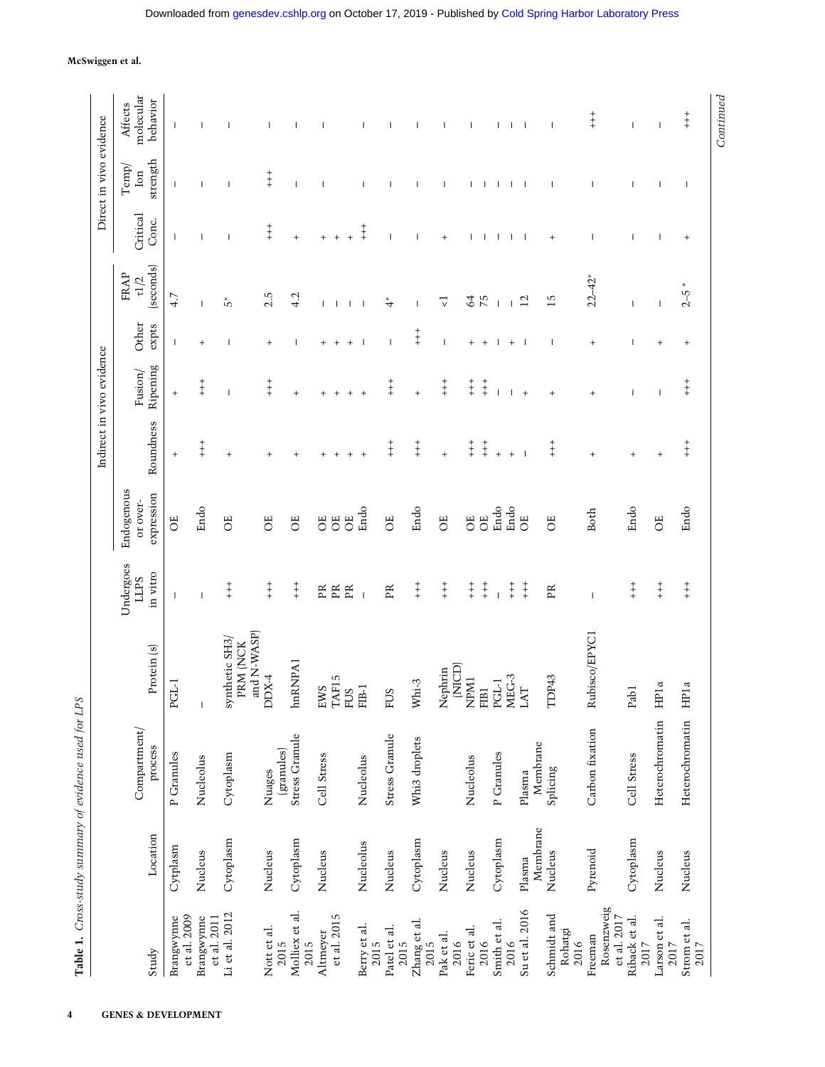| . And the case of the content of the content of the content of the content of the content of the content of the content of the content of the content of the content of the content of the content of the content of the conte |  |
|--------------------------------------------------------------------------------------------------------------------------------------------------------------------------------------------------------------------------------|--|
|                                                                                                                                                                                                                                |  |
|                                                                                                                                                                                                                                |  |
| .<br>.<br>.                                                                                                                                                                                                                    |  |

|                                                              |                    |                         |                                           |                                      |                                      |                        | Indirect in vivo evidence |                          |                                 |                               | Direct in vivo evidence  |                                  |
|--------------------------------------------------------------|--------------------|-------------------------|-------------------------------------------|--------------------------------------|--------------------------------------|------------------------|---------------------------|--------------------------|---------------------------------|-------------------------------|--------------------------|----------------------------------|
| Study                                                        | Location           | Compartment/<br>process | Protein (s)                               | Undergoes<br>in vitro<br><b>LLPS</b> | Endogenous<br>expression<br>or over- | Roundness              | Ripening<br>Fusion/       | Other<br>expts           | (seconds)<br>FRAP<br>$\tau l/2$ | Critical<br>Conc.             | strength<br>Temp/<br>Ion | molecular<br>behavior<br>Affects |
| et al. 2009<br>Brangwynne                                    | Cytplasm           | P Granules              | PGL-1                                     |                                      | ö                                    | $^{+}$                 | $^{+}$                    | $\overline{\phantom{a}}$ | 4.7                             |                               |                          | $\overline{\phantom{a}}$         |
| Brangwynne<br>et al. 2011                                    | Nucleus            | Nucleolus               | $\overline{1}$                            | $\overline{\phantom{a}}$             | Endo                                 | $+$<br>$+$             | $\ddagger$                | $^{+}$                   | $\overline{\phantom{a}}$        |                               |                          |                                  |
| Li et al. 2012                                               | Cytoplasm          | Cytoplasm               | and N-WASP)<br>synthetic SH3/<br>PRM (NCK | $+ +$                                | ö                                    | $^{+}$                 |                           |                          | ٣,                              |                               |                          |                                  |
| Nott et al.<br>2015                                          | Nucleus            | (granules)<br>Nuages    | $DDX-4$                                   | $+ +$                                | ö                                    | $^{+}$                 | $\ddagger$                | $^{+}$                   | 2.5                             | $+$                           | $+ +$                    | H                                |
| Molliex et al.<br>2015                                       | Cytoplasm          | Stress Granule          | hnRNPA1                                   | $+$<br>$+$                           | ö                                    | $^{+}$                 | $^{+}$                    |                          | 4.2                             | $^{+}$                        | I                        |                                  |
| et al. 2015<br>Altmeyer                                      | Nucleus            | Cell Stress             | EWS<br>TAF15<br><b>FUS</b>                | R<br>Æ<br>$\mathbb{R}$               | ö<br>ö<br>ö                          | $\overline{+}$         | $^{+}$<br>$^{+}$          | $^{+}$<br>$^{+}$         | $\mathbf{I}$                    | $\ddot{}$<br>$^{+}$<br>$^{+}$ |                          |                                  |
| Berry et al.<br>2015                                         | Nucleolus          | Nucleolus               | FIB-1                                     | $\overline{\phantom{a}}$             | Endo                                 | $^{+}$                 | $\ddot{}$                 | - I                      |                                 | $\ddagger$                    |                          |                                  |
| Patel et al.<br>2015                                         | Nucleus            | Stress Granule          | <b>FUS</b>                                | $\mathbb{R}$                         | ö                                    | $+ +$                  | $+$                       |                          | $\overset{*}{\tau}$             |                               |                          |                                  |
| $\begin{array}{c} \rm{Zhang~et~al.}\\ \rm{2015} \end{array}$ | Cytoplasm          | Whi3 droplets           | Whi-3                                     | $\ddagger$                           | Endo                                 | $+$<br>$+$             | $^{+}$                    | $\ddagger$               |                                 |                               |                          |                                  |
| Pak et al.<br>2016                                           | Nucleus            |                         | (NICD)<br>Nephrin                         | $\ddagger$                           | ö                                    | $\ddot{}$              | $\ddagger$                | $\overline{\phantom{a}}$ | マ                               | $^{+}$                        | J                        |                                  |
| Feric et al.<br>2016                                         | Nucleus            | Nucleolus               | NPM1<br>FIB <sub>1</sub>                  | $+ +$<br>$\ddagger$                  | ö<br>ö                               | $+ +$<br>$+ +$         | $\ddagger$<br>$\ddagger$  | $^{+}$<br>$\ddot{}$      | 64<br>75                        |                               |                          |                                  |
| Smith et al.<br>2016                                         | Cytoplasm          | P Granules              | $PGL-1$                                   | $+$                                  | Endo<br>Endo                         | $\ddot{}$<br>$\ddot{}$ |                           | $^{+}$                   | $\overline{\phantom{a}}$        |                               |                          | $\mathbf{I}$                     |
| Su et al. 2016                                               | Membrane<br>Plasma | Membrane<br>Plasma      | $\frac{\text{MEG-3}}{\text{LAT}}$         | $\ddagger$                           | ö                                    |                        | $\ddot{}$                 |                          | $\overline{12}$                 |                               |                          | $\overline{\phantom{0}}$         |
| Schmidt and<br>Rohatgi<br>2016                               | Nucleus            | Splicing                | TDP43                                     | PR                                   | ö                                    | $\frac{+}{+}$          | $^{+}$                    |                          | $\overline{15}$                 | $^{+}$                        |                          | $\overline{\phantom{a}}$         |
| Rosenzweig<br>et al. 2017<br>Freeman                         | Pyrenoid           | Carbon fixation         | Rubisco/EPYC1                             | $\overline{\phantom{a}}$             | <b>Both</b>                          | $^{+}$                 | $^{+}$                    | $^{+}$                   | $22 - 42$                       |                               |                          | $\frac{+}{+}$                    |
| Riback et al.<br>2017                                        | Cytoplasm          | Cell Stress             | Pab1                                      | $\ddagger$                           | Endo                                 | $^{+}$                 | I                         | I                        | $\overline{\phantom{a}}$        |                               | I                        | $\overline{\phantom{a}}$         |
| Larson et al.<br>2017                                        | Nucleus            | Heterochromatin         | HPla                                      | $_+^+$                               | öË                                   | $^{+}$                 | $\overline{\phantom{a}}$  | $\ddot{}$                | $\overline{\phantom{a}}$        |                               | $\mathsf{I}$             | $\mathsf{I}$                     |
| Strom et al.<br>2017                                         | Nucleus            | Heterochromatin         | HP <sub>1a</sub>                          | $\overset{+}{+}$                     | Endo                                 | $+$<br>$+$             | $\ddagger$                | $^{+}$                   | $2 - 5$                         | $^{+}$                        | $\mathsf{l}$             | $\ddagger$                       |
|                                                              |                    |                         |                                           |                                      |                                      |                        |                           |                          |                                 |                               |                          | Continued                        |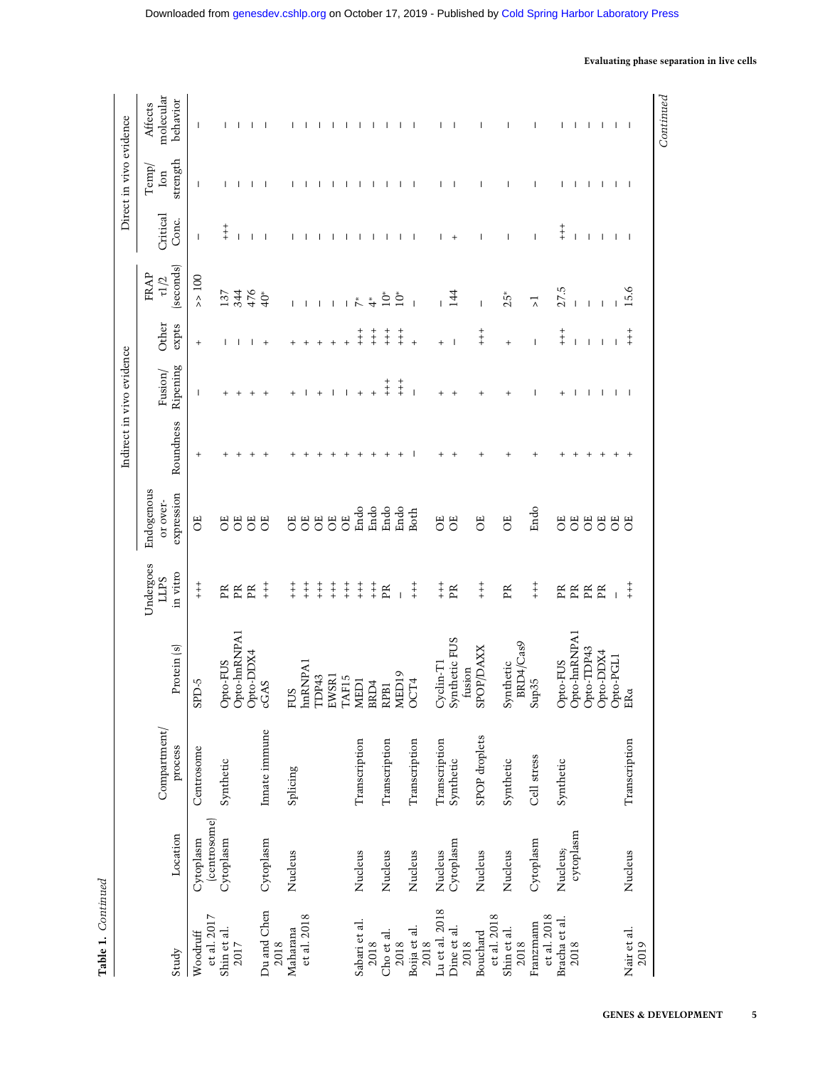Table 1. Continued Table 1. Continued

|                                 |              |                         |                                      |                         |                        |           | Indirect in vivo evidence |                                            |                                   |                          | Direct in vivo evidence           |                          |
|---------------------------------|--------------|-------------------------|--------------------------------------|-------------------------|------------------------|-----------|---------------------------|--------------------------------------------|-----------------------------------|--------------------------|-----------------------------------|--------------------------|
|                                 |              |                         |                                      | Undergoes               | Endogenous             |           |                           |                                            | FRAP                              |                          | $\mathrm{Temp}/% \mathbb{Z} _{2}$ | Affects                  |
| Study                           | Location     | Compartment/<br>process | Protein (s)                          | in vitro<br><b>SdTT</b> | expression<br>or over- | Roundness | Ripening<br>Fusion/       | Other<br>expts                             | (seconds)<br>$\tau l/2$           | Critical<br>Conc.        | strength<br>$\lim$                | molecular<br>behavior    |
| ${\it et}$ al. 2017<br>Woodruff | Cytoplasm    | Centrosome              | $S$ -CICS                            | $_+^+$                  | ö                      | $^{+}$    | $\mathsf{l}$              | $^{+}$                                     | $\geq 100$                        | $\overline{\phantom{a}}$ | $\mathsf{l}$                      |                          |
| Shin et al.                     | (centrosome) | Synthetic               |                                      | ΕŘ                      | ö                      |           |                           |                                            | 137                               |                          |                                   |                          |
| 2017                            | Cytoplasm    |                         | Opto-FUS<br>Opto-hnRNPA1             | $\mathbb{R}$            | ö                      |           |                           |                                            | 344                               | $+ +$                    | $\mathsf{l}$                      |                          |
|                                 |              |                         |                                      | $\mathbb{R}$            | ö                      |           | $\ddot{}$                 |                                            | 476                               | $\overline{\phantom{a}}$ | -1                                | $\overline{\phantom{a}}$ |
| Du and Chen                     | Cytoplasm    | Innate immune           | Opto-DDX4<br>cGAS                    | $\ddagger$              | ö                      |           |                           | $\ddot{}$                                  | $\ddot{q}$                        | $\overline{\phantom{a}}$ | $\overline{\phantom{a}}$          |                          |
| Maharana<br>2018                | Nucleus      | Splicing                |                                      | $\ddagger$              | ö                      |           |                           |                                            |                                   |                          |                                   |                          |
| et al. 2018                     |              |                         | FUS<br>hnRNPA1                       | $\ddagger$              | 5                      |           |                           |                                            | $\overline{\phantom{a}}$          |                          |                                   |                          |
|                                 |              |                         | TDP43                                | $\ddagger$              | ö                      |           |                           | $\ddot{}$                                  | $\overline{\phantom{a}}$          |                          |                                   |                          |
|                                 |              |                         | EWSR1                                | $\ddagger$              | ö                      |           |                           | $\ddot{}$                                  | $\mathbf{I}$                      |                          |                                   |                          |
|                                 |              |                         | TAF15                                | $\ddagger$              | ö                      |           |                           | $\ddot{}$                                  |                                   |                          |                                   |                          |
| Sabari et al.                   | Nucleus      | Transcription           | MED1<br>BRD4                         | $\ddagger$              | Endo                   |           |                           | $\ddagger$                                 | $\overset{*}{\mathcal{L}}$        |                          |                                   |                          |
| 2018                            |              |                         |                                      | $\ddagger$              | Endo                   |           |                           | $_+^+$                                     | $\stackrel{*}{\rightharpoondown}$ |                          |                                   |                          |
| Cho et al.                      | Nucleus      | Transcription           | RPB1                                 | $\mathbb{R}$            | Endo                   |           | $\ddagger$                | $\overset{+}{+}$                           | $\stackrel{*}{\supset}$           |                          | $\mathbf{I}$                      | $\overline{\phantom{a}}$ |
| 2018                            |              |                         | MED19                                | $\overline{1}$          | Endo                   |           | $\ddagger$                | $\overset{+}{+}$                           | $\sum_{i=1}^{n}$                  |                          | $\mathbf{I}$                      | -1                       |
| Boija et al.<br>2018            | Nucleus      | Transcription           | OCT4                                 | $\ddagger$              | <b>Both</b>            |           | $\overline{1}$            | $\overline{+}$                             |                                   | $\overline{\phantom{a}}$ | $\mathbf{I}$                      | - 1                      |
| Lu et al. 2018                  | Nucleus      | Transcription           |                                      | $+ +$                   | ö                      |           | $^{+}$                    | $\ddot{}$                                  |                                   | L                        | L                                 | L                        |
| Dine et al.<br>2018             | Cytoplasm    | Synthetic               | Cyclin-T1<br>Synthetic FUS<br>fusion | PŘ                      | ö                      |           | $\overline{+}$            | $\overline{\phantom{a}}$                   | 144                               | $+$                      | $\overline{\phantom{a}}$          |                          |
| et al. 2018<br>Bouchard         | Nucleus      | SPOP droplets           | SPOP/DAXX                            | $+$                     | ö                      |           | $^{+}$                    | $+$<br>$+$                                 | Ī                                 |                          | J.                                |                          |
| Shin et al.<br>2018             | Nucleus      | Synthetic               | BRD4/Cas9<br>Synthetic               | $\mathbb{R}$            | ö                      |           | $^{+}$                    | $^{+}$                                     | $25*$                             | $\mathsf{I}$             | п                                 | $\mathbf{I}$             |
| et al. 2018<br>Franzmann        | Cytoplasm    | Cell stress             | Sup $35$                             | $\ddagger$              | Endo                   |           | J.                        | $\mathbf{I}$                               | $\overline{\phantom{a}}$          | $\overline{\phantom{a}}$ | J.                                | $\mathsf{l}$             |
| Bracha et al.                   | Nucleus;     | Synthetic               | Opto-FUS                             | Ę                       | ö                      |           | $^{+}$                    | $\begin{array}{c} + \\ + \\ + \end{array}$ | 27.5                              | $\ddagger$               | I.                                |                          |
| 2018                            | cytoplasm    |                         | Opto-hnRNPA1                         | EK<br>ER                | ö                      |           | $\mathbf{I}$              | $\overline{\phantom{a}}$                   |                                   |                          | $\mathbf{I}$                      |                          |
|                                 |              |                         | Opto-TDP43                           |                         | 5                      |           | $\mathbf{I}$              | $\mathbf{I}$                               |                                   |                          | $\mathbf{I}$                      |                          |
|                                 |              |                         | Opto-DDX4                            | $\mathbb{R}$            | 5                      |           | Ι.                        | $\mathbf{I}$                               |                                   |                          | Ι.                                |                          |
|                                 |              |                         | Opto-PGL1<br>ERa                     | $\overline{1}$          | ö                      |           | $\mathbf{I}$              | $\mathsf I$                                |                                   |                          | -1                                |                          |
| Nair et al.<br>2019             | Nucleus      | Transcription           |                                      | $\ddagger$              | 5                      |           | $\overline{\phantom{a}}$  | $\frac{+}{+}$                              | ७<br>15.                          |                          | $\mathbf{I}$                      |                          |
|                                 |              |                         |                                      |                         |                        |           |                           |                                            |                                   |                          |                                   | Continued                |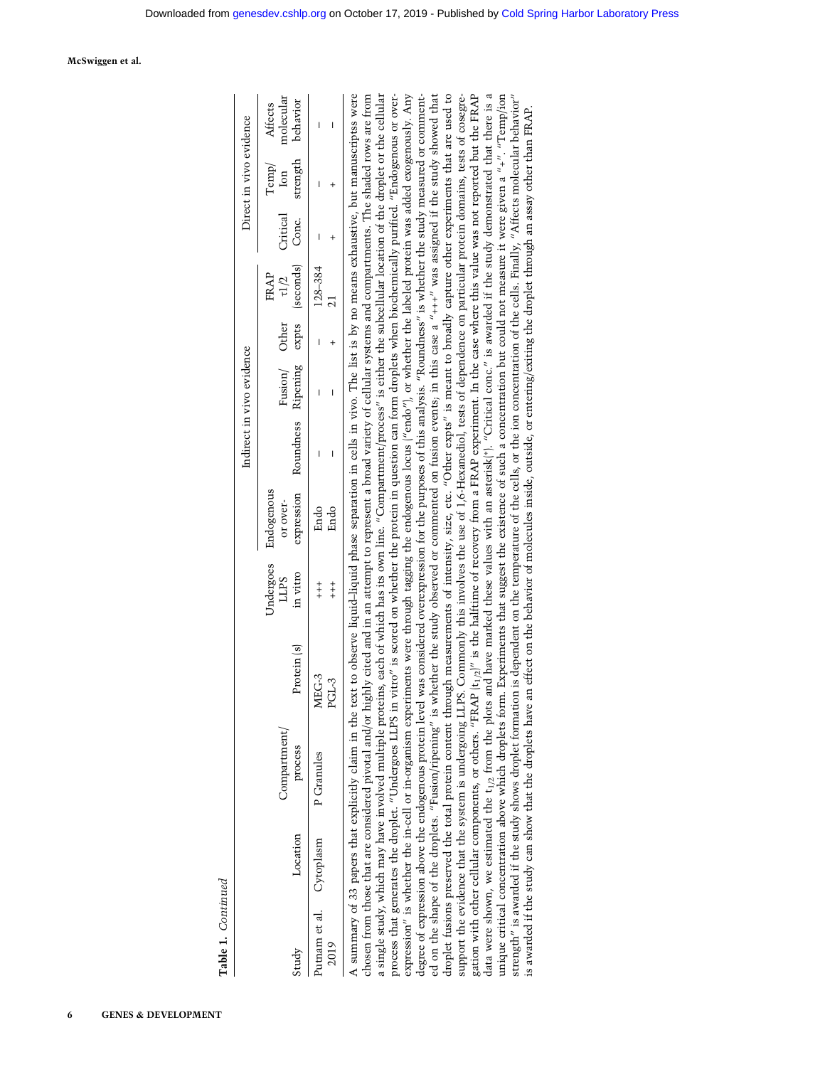| ı |  |
|---|--|
|   |  |
| ٠ |  |

 $\overline{ }$ 

6 GENES & DEVELOPMENT

|                                   |                   |                |                     |                       |           | Indirect in vivo evidence |       |                                  |                 | Direct in vivo evidence                                                 |                                  |
|-----------------------------------|-------------------|----------------|---------------------|-----------------------|-----------|---------------------------|-------|----------------------------------|-----------------|-------------------------------------------------------------------------|----------------------------------|
|                                   | <b>Jompartmen</b> |                | Indergoes<br>LLPS   | ndogenous<br>or over- |           |                           | Other | $FRAP$<br>$\tau 1/2$<br>seconds) | <b>Critical</b> | $\begin{array}{c}\mathrm{Temp}/\mathrm{Im}p/\\ \mathrm{Ion}\end{array}$ | Affects<br>molecular<br>behavior |
| Location                          | process           | Protein (s)    | in vitro            | xpression             | Roundness | Fusion/<br>Ripening       | expts |                                  | Conc.           |                                                                         |                                  |
| utnam et al. Cytoplasm P Granules |                   | MEG-3<br>PGL-3 | $+$<br>$+$<br>$+ +$ | Endo<br>Endo          |           | I                         |       | 128-384                          |                 |                                                                         |                                  |

process that generates the droplet. "Undergoes LLPS in vitro" is scored on whether the protein in question can form droplets when biochemically purified. "Endogenous or overdata were shown, we estimated the t<sub>1/2</sub> from the plots and have marked these values with an asterisk<sup>\*</sup>). "Critical conc." is awarded if the study demonstrated that there is a unique critical concentration above which droplets form. Experiments that suggest the existence of such a concentration but could not measure it were given a "+". "Temp/ion A summary of 33 papers that explicitly claim in the text to observe liquid-liquid phase separation in cells in vivo. The list is by no means exhaustive, but manuscriptss were chosen from those that are considered pivotal and/or highly cited and in an attempt to represent a broad variety of cellular systems and compartments. The shaded rows are from a single study, which may have involved multiple proteins, each of which has its own line. "Compartment/process" is either the subcellular location of the droplet or the cellular expression" is whether the in-cell or in-organism experiments were through tagging the endogenous locus ("endo"), or whether the labeled protein was added exogenously. Any degree of expression above the endogenous protein level was considered overexpression for the purposes of this analysis. "Roundness" is whether the study measured or commented on the shape of the droplets. "Fusion/ripening" is whether the study observed or commented on fusion events, in this case a "+++" was assigned if the study showed that droplet fusions preserved the total protein content through measurements of intensity, size, etc. "Other expts" is meant to broadly capture other experiments that are used to support the evidence that the system is undergoing LLPS. Commonly this involves the use of 1,6-Hexanediol, tests of dependence on particular protein domains, tests of cosegregation with other cellular components, or others. "FRAP  $[t_{1/2}]''$  is the halftime of recovery from a FRAP experiment. In the case where this value was not reported but the FRAP A summary of 33 papers that explicitly claim in the text to observe liquid–liquid phase separation in cells in vivo. The list is by no means exhaustive, but manuscriptss were chosen from those that are considered pivotal and/or highly cited and in an attempt to represent a broad variety of cellular systems and compartments. The shaded rows are from a single study, which may have involved multiple proteins, each of which has its own line. "Compartment/process" is either the subcellular location of the droplet or the cellular process that generates the droplet. "Undergoes LLPS in vitro" is scored on whether the protein in question can form droplets when biochemically purified. "Endogenous or overexpression" is whether the in-cell or in-organism experiments were through tagging the endogenous locus ("endo"), or whether the labeled protein was added exogenously. Any degree of expression above the endogenous protein level was considered overexpression for the purposes of this analysis. "Roundness" is whether the study measured or commented on the shape of the droplets. "Fusion/ripening" is whether the study observed or commented on fusion events; in this case a "+++" was assigned if the study showed that droplet fusions preserved the total protein content through measurements of intensity, size, etc. "Other expts" is meant to broadly capture other experiments that are used to support the evidence that the system is undergoing LLPS. Commonly this involves the use of 1,6-Hexanediol, tests of dependence on particular protein domains, tests of cosegregation with other cellular components, or others. "FRAP (t<sub>1/2</sub>)" is the halftime of recovery from a FRAP experiment. In the case where this value was not reported but the FRAP data were shown, we estimated the t<sub>1/2</sub> from the plots and have marked these values with an asterisk(\*). "Critical conc." is awarded if the study demonstrated that there is a unique critical concentration above which droplets form. Experiments that suggest the existence of such a concentration but could not measure it were given a "+". "Temp/ion strength" is awarded if the study shows droplet formation is dependent on the temperature of the cells, or the ion concentration of the cells. Finally, "Affects molecular behavior" strength" is awarded if the study shows droplet formation is dependent on the temperature of the cells, or the ion concentration of the cells. Finally, "Affects molecular behavior" is awarded if the study can show that the droplets have an effect on the behavior of molecules inside, outside, or entering/exiting the droplet through an assay other than FRAP. is awarded if the study can show that the droplets have an effect on the behavior of molecules inside, outside, or entering/exiting the droplet through an assay other than FRAP.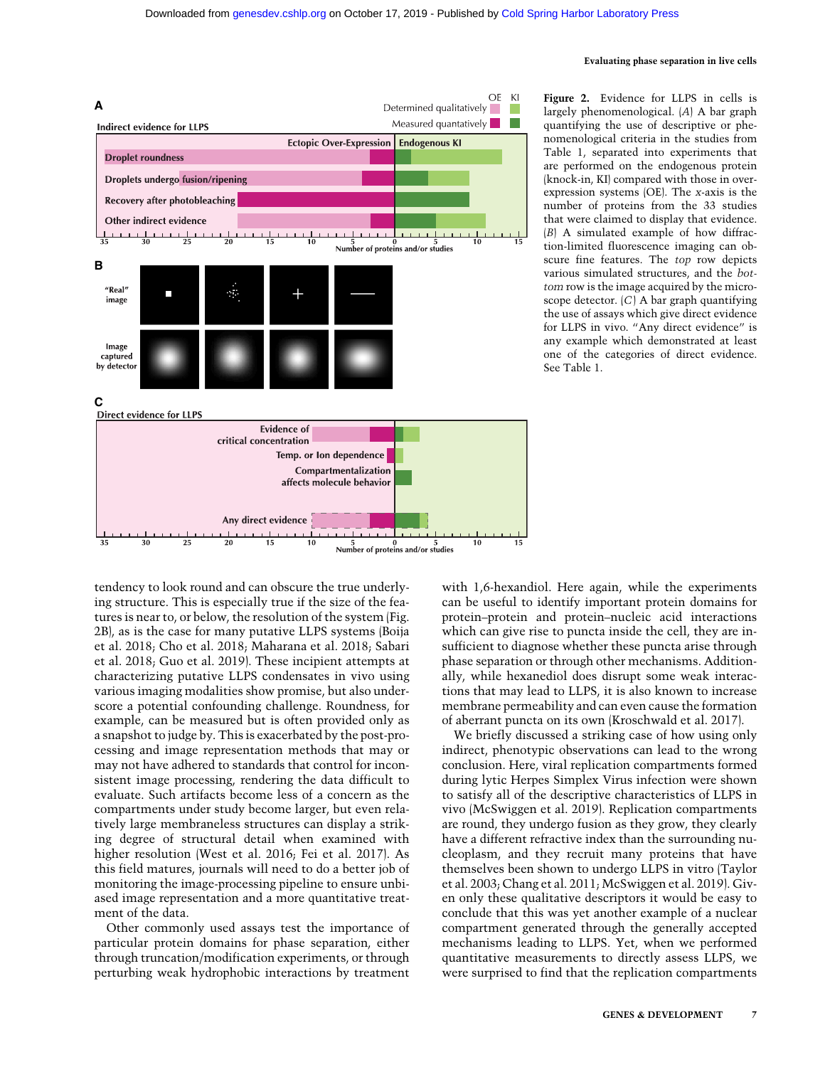

Figure 2. Evidence for LLPS in cells is largely phenomenological. (A) A bar graph quantifying the use of descriptive or phenomenological criteria in the studies from Table 1, separated into experiments that are performed on the endogenous protein (knock-in, KI) compared with those in overexpression systems (OE). The x-axis is the number of proteins from the 33 studies that were claimed to display that evidence. (B) A simulated example of how diffraction-limited fluorescence imaging can obscure fine features. The top row depicts various simulated structures, and the bottom row is the image acquired by the microscope detector.  $(C)$  A bar graph quantifying the use of assays which give direct evidence for LLPS in vivo. "Any direct evidence" is any example which demonstrated at least one of the categories of direct evidence. See Table 1.

tendency to look round and can obscure the true underlying structure. This is especially true if the size of the features is near to, or below, the resolution of the system (Fig. 2B), as is the case for many putative LLPS systems (Boija et al. 2018; Cho et al. 2018; Maharana et al. 2018; Sabari et al. 2018; Guo et al. 2019). These incipient attempts at characterizing putative LLPS condensates in vivo using various imaging modalities show promise, but also underscore a potential confounding challenge. Roundness, for example, can be measured but is often provided only as a snapshot to judge by. This is exacerbated by the post-processing and image representation methods that may or may not have adhered to standards that control for inconsistent image processing, rendering the data difficult to evaluate. Such artifacts become less of a concern as the compartments under study become larger, but even relatively large membraneless structures can display a striking degree of structural detail when examined with higher resolution (West et al. 2016; Fei et al. 2017). As this field matures, journals will need to do a better job of monitoring the image-processing pipeline to ensure unbiased image representation and a more quantitative treatment of the data.

Other commonly used assays test the importance of particular protein domains for phase separation, either through truncation/modification experiments, or through perturbing weak hydrophobic interactions by treatment

with 1,6-hexandiol. Here again, while the experiments can be useful to identify important protein domains for protein–protein and protein–nucleic acid interactions which can give rise to puncta inside the cell, they are insufficient to diagnose whether these puncta arise through phase separation or through other mechanisms. Additionally, while hexanediol does disrupt some weak interactions that may lead to LLPS, it is also known to increase membrane permeability and can even cause the formation of aberrant puncta on its own (Kroschwald et al. 2017).

We briefly discussed a striking case of how using only indirect, phenotypic observations can lead to the wrong conclusion. Here, viral replication compartments formed during lytic Herpes Simplex Virus infection were shown to satisfy all of the descriptive characteristics of LLPS in vivo (McSwiggen et al. 2019). Replication compartments are round, they undergo fusion as they grow, they clearly have a different refractive index than the surrounding nucleoplasm, and they recruit many proteins that have themselves been shown to undergo LLPS in vitro (Taylor et al. 2003; Chang et al. 2011; McSwiggen et al. 2019). Given only these qualitative descriptors it would be easy to conclude that this was yet another example of a nuclear compartment generated through the generally accepted mechanisms leading to LLPS. Yet, when we performed quantitative measurements to directly assess LLPS, we were surprised to find that the replication compartments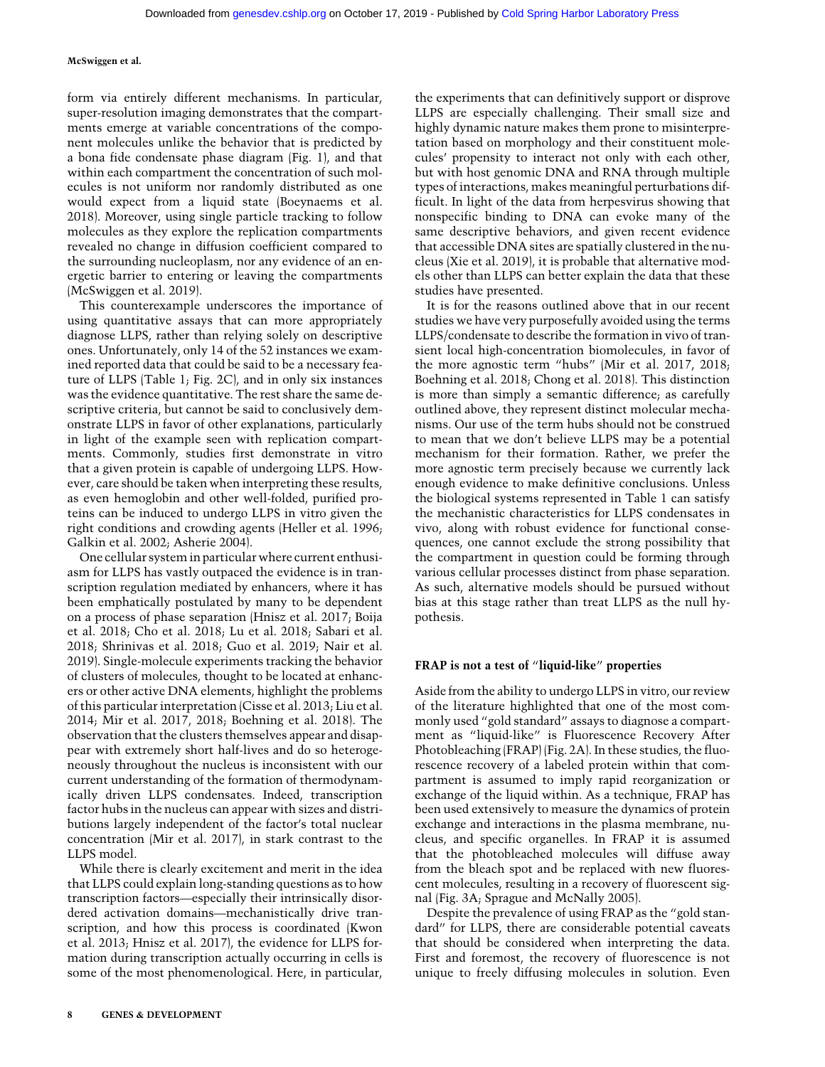form via entirely different mechanisms. In particular, super-resolution imaging demonstrates that the compartments emerge at variable concentrations of the component molecules unlike the behavior that is predicted by a bona fide condensate phase diagram (Fig. 1), and that within each compartment the concentration of such molecules is not uniform nor randomly distributed as one would expect from a liquid state (Boeynaems et al. 2018). Moreover, using single particle tracking to follow molecules as they explore the replication compartments revealed no change in diffusion coefficient compared to the surrounding nucleoplasm, nor any evidence of an energetic barrier to entering or leaving the compartments (McSwiggen et al. 2019).

This counterexample underscores the importance of using quantitative assays that can more appropriately diagnose LLPS, rather than relying solely on descriptive ones. Unfortunately, only 14 of the 52 instances we examined reported data that could be said to be a necessary feature of LLPS (Table 1; Fig. 2C), and in only six instances was the evidence quantitative. The rest share the same descriptive criteria, but cannot be said to conclusively demonstrate LLPS in favor of other explanations, particularly in light of the example seen with replication compartments. Commonly, studies first demonstrate in vitro that a given protein is capable of undergoing LLPS. However, care should be taken when interpreting these results, as even hemoglobin and other well-folded, purified proteins can be induced to undergo LLPS in vitro given the right conditions and crowding agents (Heller et al. 1996; Galkin et al. 2002; Asherie 2004).

One cellular system in particular where current enthusiasm for LLPS has vastly outpaced the evidence is in transcription regulation mediated by enhancers, where it has been emphatically postulated by many to be dependent on a process of phase separation (Hnisz et al. 2017; Boija et al. 2018; Cho et al. 2018; Lu et al. 2018; Sabari et al. 2018; Shrinivas et al. 2018; Guo et al. 2019; Nair et al. 2019). Single-molecule experiments tracking the behavior of clusters of molecules, thought to be located at enhancers or other active DNA elements, highlight the problems of this particular interpretation (Cisse et al. 2013; Liu et al. 2014; Mir et al. 2017, 2018; Boehning et al. 2018). The observation that the clusters themselves appear and disappear with extremely short half-lives and do so heterogeneously throughout the nucleus is inconsistent with our current understanding of the formation of thermodynamically driven LLPS condensates. Indeed, transcription factor hubs in the nucleus can appear with sizes and distributions largely independent of the factor's total nuclear concentration (Mir et al. 2017), in stark contrast to the LLPS model.

While there is clearly excitement and merit in the idea that LLPS could explain long-standing questions as to how transcription factors—especially their intrinsically disordered activation domains—mechanistically drive transcription, and how this process is coordinated (Kwon et al. 2013; Hnisz et al. 2017), the evidence for LLPS formation during transcription actually occurring in cells is some of the most phenomenological. Here, in particular, the experiments that can definitively support or disprove LLPS are especially challenging. Their small size and highly dynamic nature makes them prone to misinterpretation based on morphology and their constituent molecules' propensity to interact not only with each other, but with host genomic DNA and RNA through multiple types of interactions, makes meaningful perturbations difficult. In light of the data from herpesvirus showing that nonspecific binding to DNA can evoke many of the same descriptive behaviors, and given recent evidence that accessible DNA sites are spatially clustered in the nucleus (Xie et al. 2019), it is probable that alternative models other than LLPS can better explain the data that these studies have presented.

It is for the reasons outlined above that in our recent studies we have very purposefully avoided using the terms LLPS/condensate to describe the formation in vivo of transient local high-concentration biomolecules, in favor of the more agnostic term "hubs" (Mir et al. 2017, 2018; Boehning et al. 2018; Chong et al. 2018). This distinction is more than simply a semantic difference; as carefully outlined above, they represent distinct molecular mechanisms. Our use of the term hubs should not be construed to mean that we don't believe LLPS may be a potential mechanism for their formation. Rather, we prefer the more agnostic term precisely because we currently lack enough evidence to make definitive conclusions. Unless the biological systems represented in Table 1 can satisfy the mechanistic characteristics for LLPS condensates in vivo, along with robust evidence for functional consequences, one cannot exclude the strong possibility that the compartment in question could be forming through various cellular processes distinct from phase separation. As such, alternative models should be pursued without bias at this stage rather than treat LLPS as the null hypothesis.

### FRAP is not a test of "liquid-like" properties

Aside from the ability to undergo LLPS in vitro, our review of the literature highlighted that one of the most commonly used "gold standard" assays to diagnose a compartment as "liquid-like" is Fluorescence Recovery After Photobleaching (FRAP) (Fig. 2A). In these studies, the fluorescence recovery of a labeled protein within that compartment is assumed to imply rapid reorganization or exchange of the liquid within. As a technique, FRAP has been used extensively to measure the dynamics of protein exchange and interactions in the plasma membrane, nucleus, and specific organelles. In FRAP it is assumed that the photobleached molecules will diffuse away from the bleach spot and be replaced with new fluorescent molecules, resulting in a recovery of fluorescent signal (Fig. 3A; Sprague and McNally 2005).

Despite the prevalence of using FRAP as the "gold standard" for LLPS, there are considerable potential caveats that should be considered when interpreting the data. First and foremost, the recovery of fluorescence is not unique to freely diffusing molecules in solution. Even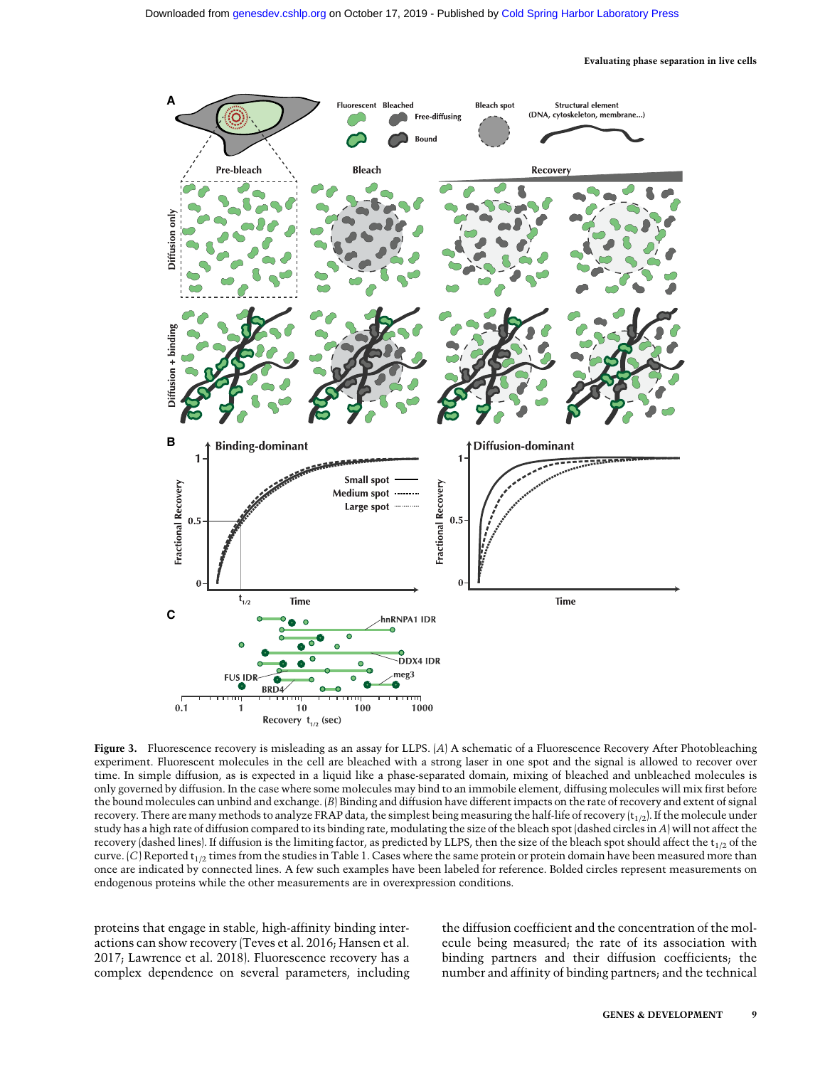

Figure 3. Fluorescence recovery is misleading as an assay for LLPS. (A) A schematic of a Fluorescence Recovery After Photobleaching experiment. Fluorescent molecules in the cell are bleached with a strong laser in one spot and the signal is allowed to recover over time. In simple diffusion, as is expected in a liquid like a phase-separated domain, mixing of bleached and unbleached molecules is only governed by diffusion. In the case where some molecules may bind to an immobile element, diffusing molecules will mix first before the bound molecules can unbind and exchange. (B) Binding and diffusion have different impacts on the rate of recovery and extent of signal recovery. There are many methods to analyze FRAP data, the simplest being measuring the half-life of recovery  $(t_{1/2})$ . If the molecule under study has a high rate of diffusion compared to its binding rate, modulating the size of the bleach spot (dashed circles in A) will not affect the recovery (dashed lines). If diffusion is the limiting factor, as predicted by LLPS, then the size of the bleach spot should affect the  $t_{1/2}$  of the curve.  $(C)$  Reported  $t_{1/2}$  times from the studies in Table 1. Cases where the same protein or protein domain have been measured more than once are indicated by connected lines. A few such examples have been labeled for reference. Bolded circles represent measurements on endogenous proteins while the other measurements are in overexpression conditions.

proteins that engage in stable, high-affinity binding interactions can show recovery (Teves et al. 2016; Hansen et al. 2017; Lawrence et al. 2018). Fluorescence recovery has a complex dependence on several parameters, including the diffusion coefficient and the concentration of the molecule being measured; the rate of its association with binding partners and their diffusion coefficients; the number and affinity of binding partners; and the technical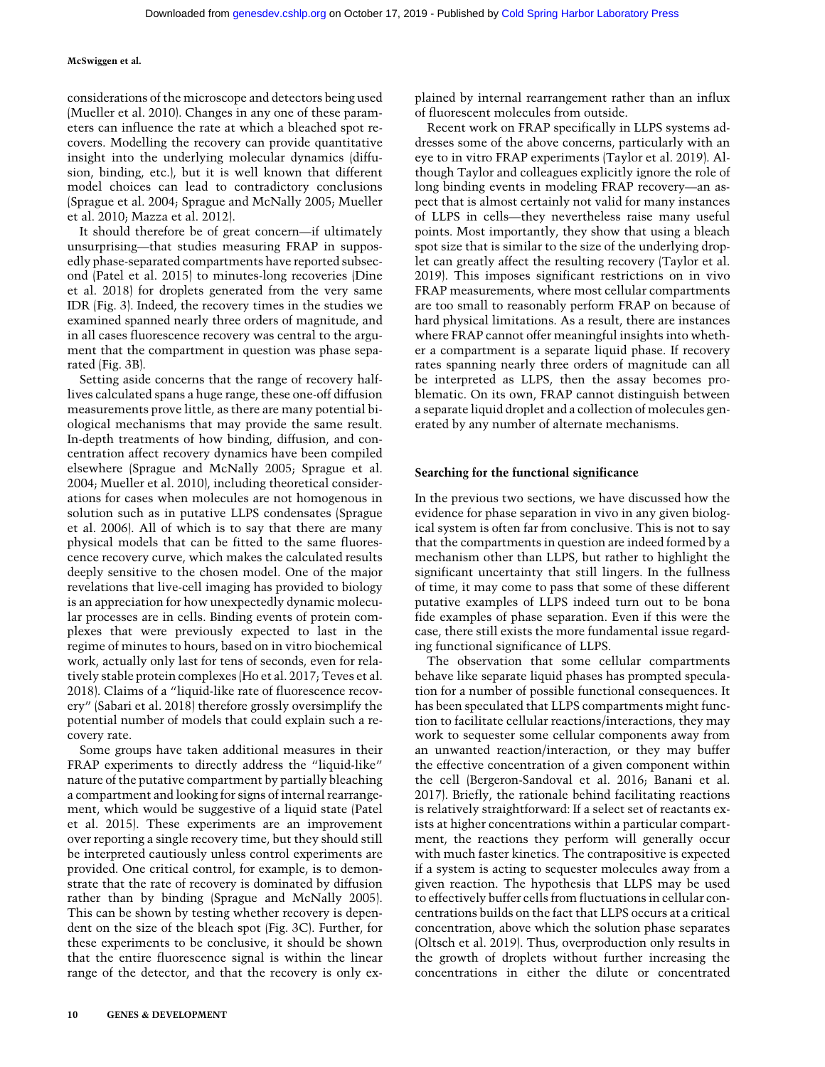considerations of the microscope and detectors being used (Mueller et al. 2010). Changes in any one of these parameters can influence the rate at which a bleached spot recovers. Modelling the recovery can provide quantitative insight into the underlying molecular dynamics (diffusion, binding, etc.), but it is well known that different model choices can lead to contradictory conclusions (Sprague et al. 2004; Sprague and McNally 2005; Mueller et al. 2010; Mazza et al. 2012).

It should therefore be of great concern—if ultimately unsurprising—that studies measuring FRAP in supposedly phase-separated compartments have reported subsecond (Patel et al. 2015) to minutes-long recoveries (Dine et al. 2018) for droplets generated from the very same IDR (Fig. 3). Indeed, the recovery times in the studies we examined spanned nearly three orders of magnitude, and in all cases fluorescence recovery was central to the argument that the compartment in question was phase separated (Fig. 3B).

Setting aside concerns that the range of recovery halflives calculated spans a huge range, these one-off diffusion measurements prove little, as there are many potential biological mechanisms that may provide the same result. In-depth treatments of how binding, diffusion, and concentration affect recovery dynamics have been compiled elsewhere (Sprague and McNally 2005; Sprague et al. 2004; Mueller et al. 2010), including theoretical considerations for cases when molecules are not homogenous in solution such as in putative LLPS condensates (Sprague et al. 2006). All of which is to say that there are many physical models that can be fitted to the same fluorescence recovery curve, which makes the calculated results deeply sensitive to the chosen model. One of the major revelations that live-cell imaging has provided to biology is an appreciation for how unexpectedly dynamic molecular processes are in cells. Binding events of protein complexes that were previously expected to last in the regime of minutes to hours, based on in vitro biochemical work, actually only last for tens of seconds, even for relatively stable protein complexes (Ho et al. 2017; Teves et al. 2018). Claims of a "liquid-like rate of fluorescence recovery" (Sabari et al. 2018) therefore grossly oversimplify the potential number of models that could explain such a recovery rate.

Some groups have taken additional measures in their FRAP experiments to directly address the "liquid-like" nature of the putative compartment by partially bleaching a compartment and looking for signs of internal rearrangement, which would be suggestive of a liquid state (Patel et al. 2015). These experiments are an improvement over reporting a single recovery time, but they should still be interpreted cautiously unless control experiments are provided. One critical control, for example, is to demonstrate that the rate of recovery is dominated by diffusion rather than by binding (Sprague and McNally 2005). This can be shown by testing whether recovery is dependent on the size of the bleach spot (Fig. 3C). Further, for these experiments to be conclusive, it should be shown that the entire fluorescence signal is within the linear range of the detector, and that the recovery is only explained by internal rearrangement rather than an influx of fluorescent molecules from outside.

Recent work on FRAP specifically in LLPS systems addresses some of the above concerns, particularly with an eye to in vitro FRAP experiments (Taylor et al. 2019). Although Taylor and colleagues explicitly ignore the role of long binding events in modeling FRAP recovery—an aspect that is almost certainly not valid for many instances of LLPS in cells—they nevertheless raise many useful points. Most importantly, they show that using a bleach spot size that is similar to the size of the underlying droplet can greatly affect the resulting recovery (Taylor et al. 2019). This imposes significant restrictions on in vivo FRAP measurements, where most cellular compartments are too small to reasonably perform FRAP on because of hard physical limitations. As a result, there are instances where FRAP cannot offer meaningful insights into whether a compartment is a separate liquid phase. If recovery rates spanning nearly three orders of magnitude can all be interpreted as LLPS, then the assay becomes problematic. On its own, FRAP cannot distinguish between a separate liquid droplet and a collection of molecules generated by any number of alternate mechanisms.

#### Searching for the functional significance

In the previous two sections, we have discussed how the evidence for phase separation in vivo in any given biological system is often far from conclusive. This is not to say that the compartments in question are indeed formed by a mechanism other than LLPS, but rather to highlight the significant uncertainty that still lingers. In the fullness of time, it may come to pass that some of these different putative examples of LLPS indeed turn out to be bona fide examples of phase separation. Even if this were the case, there still exists the more fundamental issue regarding functional significance of LLPS.

The observation that some cellular compartments behave like separate liquid phases has prompted speculation for a number of possible functional consequences. It has been speculated that LLPS compartments might function to facilitate cellular reactions/interactions, they may work to sequester some cellular components away from an unwanted reaction/interaction, or they may buffer the effective concentration of a given component within the cell (Bergeron-Sandoval et al. 2016; Banani et al. 2017). Briefly, the rationale behind facilitating reactions is relatively straightforward: If a select set of reactants exists at higher concentrations within a particular compartment, the reactions they perform will generally occur with much faster kinetics. The contrapositive is expected if a system is acting to sequester molecules away from a given reaction. The hypothesis that LLPS may be used to effectively buffer cells from fluctuations in cellular concentrations builds on the fact that LLPS occurs at a critical concentration, above which the solution phase separates (Oltsch et al. 2019). Thus, overproduction only results in the growth of droplets without further increasing the concentrations in either the dilute or concentrated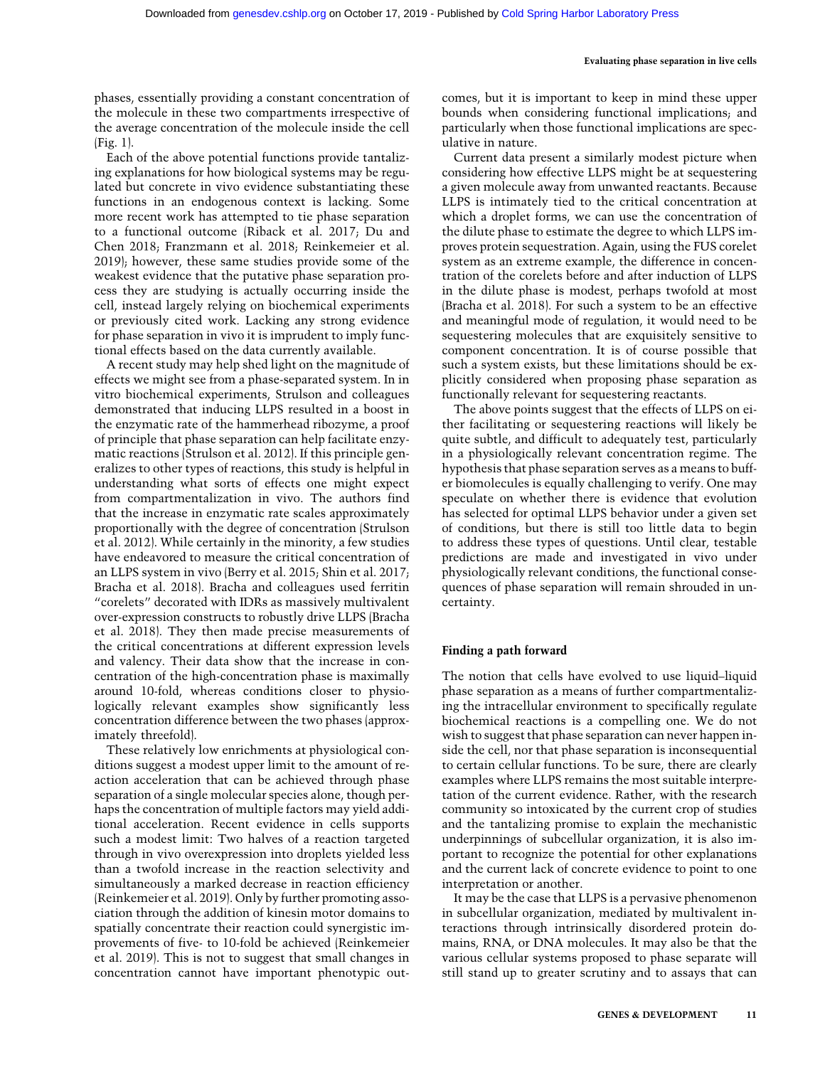phases, essentially providing a constant concentration of the molecule in these two compartments irrespective of the average concentration of the molecule inside the cell (Fig. 1).

Each of the above potential functions provide tantalizing explanations for how biological systems may be regulated but concrete in vivo evidence substantiating these functions in an endogenous context is lacking. Some more recent work has attempted to tie phase separation to a functional outcome (Riback et al. 2017; Du and Chen 2018; Franzmann et al. 2018; Reinkemeier et al. 2019); however, these same studies provide some of the weakest evidence that the putative phase separation process they are studying is actually occurring inside the cell, instead largely relying on biochemical experiments or previously cited work. Lacking any strong evidence for phase separation in vivo it is imprudent to imply functional effects based on the data currently available.

A recent study may help shed light on the magnitude of effects we might see from a phase-separated system. In in vitro biochemical experiments, Strulson and colleagues demonstrated that inducing LLPS resulted in a boost in the enzymatic rate of the hammerhead ribozyme, a proof of principle that phase separation can help facilitate enzymatic reactions (Strulson et al. 2012). If this principle generalizes to other types of reactions, this study is helpful in understanding what sorts of effects one might expect from compartmentalization in vivo. The authors find that the increase in enzymatic rate scales approximately proportionally with the degree of concentration (Strulson et al. 2012). While certainly in the minority, a few studies have endeavored to measure the critical concentration of an LLPS system in vivo (Berry et al. 2015; Shin et al. 2017; Bracha et al. 2018). Bracha and colleagues used ferritin "corelets" decorated with IDRs as massively multivalent over-expression constructs to robustly drive LLPS (Bracha et al. 2018). They then made precise measurements of the critical concentrations at different expression levels and valency. Their data show that the increase in concentration of the high-concentration phase is maximally around 10-fold, whereas conditions closer to physiologically relevant examples show significantly less concentration difference between the two phases (approximately threefold).

These relatively low enrichments at physiological conditions suggest a modest upper limit to the amount of reaction acceleration that can be achieved through phase separation of a single molecular species alone, though perhaps the concentration of multiple factors may yield additional acceleration. Recent evidence in cells supports such a modest limit: Two halves of a reaction targeted through in vivo overexpression into droplets yielded less than a twofold increase in the reaction selectivity and simultaneously a marked decrease in reaction efficiency (Reinkemeier et al. 2019). Only by further promoting association through the addition of kinesin motor domains to spatially concentrate their reaction could synergistic improvements of five- to 10-fold be achieved (Reinkemeier et al. 2019). This is not to suggest that small changes in concentration cannot have important phenotypic out-

comes, but it is important to keep in mind these upper bounds when considering functional implications; and particularly when those functional implications are speculative in nature.

Current data present a similarly modest picture when considering how effective LLPS might be at sequestering a given molecule away from unwanted reactants. Because LLPS is intimately tied to the critical concentration at which a droplet forms, we can use the concentration of the dilute phase to estimate the degree to which LLPS improves protein sequestration. Again, using the FUS corelet system as an extreme example, the difference in concentration of the corelets before and after induction of LLPS in the dilute phase is modest, perhaps twofold at most (Bracha et al. 2018). For such a system to be an effective and meaningful mode of regulation, it would need to be sequestering molecules that are exquisitely sensitive to component concentration. It is of course possible that such a system exists, but these limitations should be explicitly considered when proposing phase separation as functionally relevant for sequestering reactants.

The above points suggest that the effects of LLPS on either facilitating or sequestering reactions will likely be quite subtle, and difficult to adequately test, particularly in a physiologically relevant concentration regime. The hypothesis that phase separation serves as a means to buffer biomolecules is equally challenging to verify. One may speculate on whether there is evidence that evolution has selected for optimal LLPS behavior under a given set of conditions, but there is still too little data to begin to address these types of questions. Until clear, testable predictions are made and investigated in vivo under physiologically relevant conditions, the functional consequences of phase separation will remain shrouded in uncertainty.

#### Finding a path forward

The notion that cells have evolved to use liquid–liquid phase separation as a means of further compartmentalizing the intracellular environment to specifically regulate biochemical reactions is a compelling one. We do not wish to suggest that phase separation can never happen inside the cell, nor that phase separation is inconsequential to certain cellular functions. To be sure, there are clearly examples where LLPS remains the most suitable interpretation of the current evidence. Rather, with the research community so intoxicated by the current crop of studies and the tantalizing promise to explain the mechanistic underpinnings of subcellular organization, it is also important to recognize the potential for other explanations and the current lack of concrete evidence to point to one interpretation or another.

It may be the case that LLPS is a pervasive phenomenon in subcellular organization, mediated by multivalent interactions through intrinsically disordered protein domains, RNA, or DNA molecules. It may also be that the various cellular systems proposed to phase separate will still stand up to greater scrutiny and to assays that can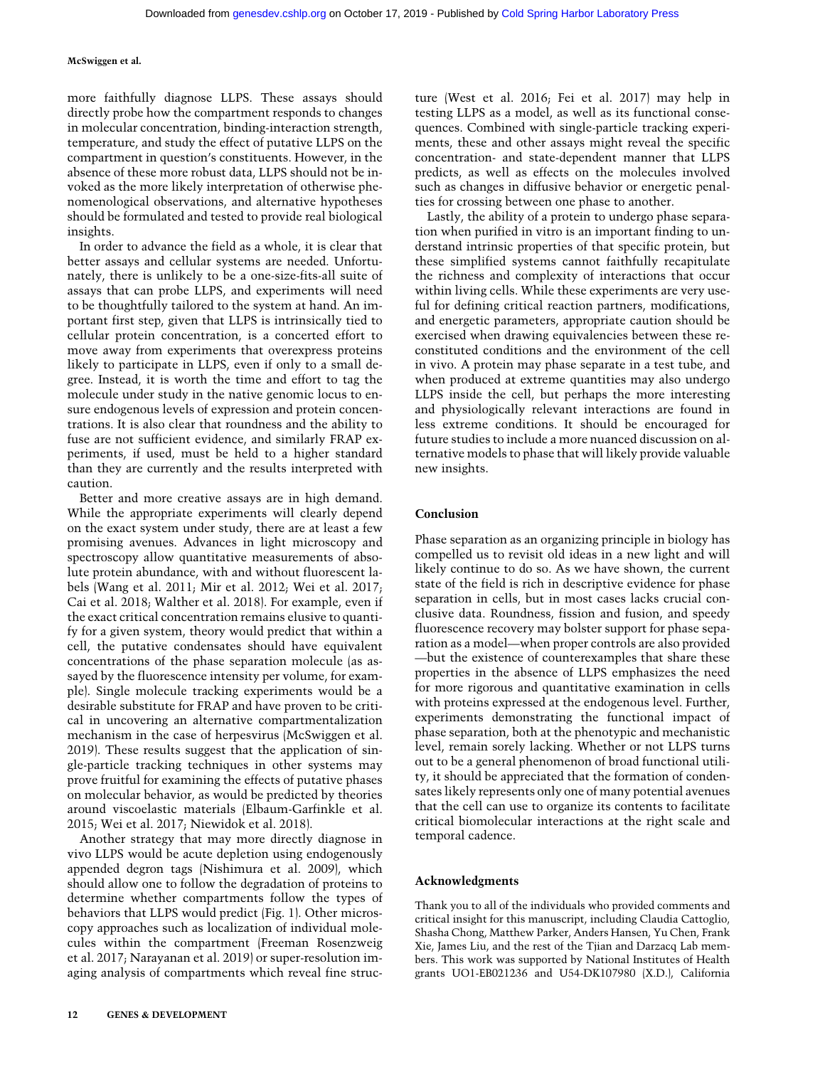more faithfully diagnose LLPS. These assays should directly probe how the compartment responds to changes in molecular concentration, binding-interaction strength, temperature, and study the effect of putative LLPS on the compartment in question's constituents. However, in the absence of these more robust data, LLPS should not be invoked as the more likely interpretation of otherwise phenomenological observations, and alternative hypotheses should be formulated and tested to provide real biological insights.

In order to advance the field as a whole, it is clear that better assays and cellular systems are needed. Unfortunately, there is unlikely to be a one-size-fits-all suite of assays that can probe LLPS, and experiments will need to be thoughtfully tailored to the system at hand. An important first step, given that LLPS is intrinsically tied to cellular protein concentration, is a concerted effort to move away from experiments that overexpress proteins likely to participate in LLPS, even if only to a small degree. Instead, it is worth the time and effort to tag the molecule under study in the native genomic locus to ensure endogenous levels of expression and protein concentrations. It is also clear that roundness and the ability to fuse are not sufficient evidence, and similarly FRAP experiments, if used, must be held to a higher standard than they are currently and the results interpreted with caution.

Better and more creative assays are in high demand. While the appropriate experiments will clearly depend on the exact system under study, there are at least a few promising avenues. Advances in light microscopy and spectroscopy allow quantitative measurements of absolute protein abundance, with and without fluorescent labels (Wang et al. 2011; Mir et al. 2012; Wei et al. 2017; Cai et al. 2018; Walther et al. 2018). For example, even if the exact critical concentration remains elusive to quantify for a given system, theory would predict that within a cell, the putative condensates should have equivalent concentrations of the phase separation molecule (as assayed by the fluorescence intensity per volume, for example). Single molecule tracking experiments would be a desirable substitute for FRAP and have proven to be critical in uncovering an alternative compartmentalization mechanism in the case of herpesvirus (McSwiggen et al. 2019). These results suggest that the application of single-particle tracking techniques in other systems may prove fruitful for examining the effects of putative phases on molecular behavior, as would be predicted by theories around viscoelastic materials (Elbaum-Garfinkle et al. 2015; Wei et al. 2017; Niewidok et al. 2018).

Another strategy that may more directly diagnose in vivo LLPS would be acute depletion using endogenously appended degron tags (Nishimura et al. 2009), which should allow one to follow the degradation of proteins to determine whether compartments follow the types of behaviors that LLPS would predict (Fig. 1). Other microscopy approaches such as localization of individual molecules within the compartment (Freeman Rosenzweig et al. 2017; Narayanan et al. 2019) or super-resolution imaging analysis of compartments which reveal fine structure (West et al. 2016; Fei et al. 2017) may help in testing LLPS as a model, as well as its functional consequences. Combined with single-particle tracking experiments, these and other assays might reveal the specific concentration- and state-dependent manner that LLPS predicts, as well as effects on the molecules involved such as changes in diffusive behavior or energetic penalties for crossing between one phase to another.

Lastly, the ability of a protein to undergo phase separation when purified in vitro is an important finding to understand intrinsic properties of that specific protein, but these simplified systems cannot faithfully recapitulate the richness and complexity of interactions that occur within living cells. While these experiments are very useful for defining critical reaction partners, modifications, and energetic parameters, appropriate caution should be exercised when drawing equivalencies between these reconstituted conditions and the environment of the cell in vivo. A protein may phase separate in a test tube, and when produced at extreme quantities may also undergo LLPS inside the cell, but perhaps the more interesting and physiologically relevant interactions are found in less extreme conditions. It should be encouraged for future studies to include a more nuanced discussion on alternative models to phase that will likely provide valuable new insights.

#### Conclusion

Phase separation as an organizing principle in biology has compelled us to revisit old ideas in a new light and will likely continue to do so. As we have shown, the current state of the field is rich in descriptive evidence for phase separation in cells, but in most cases lacks crucial conclusive data. Roundness, fission and fusion, and speedy fluorescence recovery may bolster support for phase separation as a model—when proper controls are also provided —but the existence of counterexamples that share these properties in the absence of LLPS emphasizes the need for more rigorous and quantitative examination in cells with proteins expressed at the endogenous level. Further, experiments demonstrating the functional impact of phase separation, both at the phenotypic and mechanistic level, remain sorely lacking. Whether or not LLPS turns out to be a general phenomenon of broad functional utility, it should be appreciated that the formation of condensates likely represents only one of many potential avenues that the cell can use to organize its contents to facilitate critical biomolecular interactions at the right scale and temporal cadence.

#### Acknowledgments

Thank you to all of the individuals who provided comments and critical insight for this manuscript, including Claudia Cattoglio, Shasha Chong, Matthew Parker, Anders Hansen, Yu Chen, Frank Xie, James Liu, and the rest of the Tjian and Darzacq Lab members. This work was supported by National Institutes of Health grants UO1-EB021236 and U54-DK107980 (X.D.), California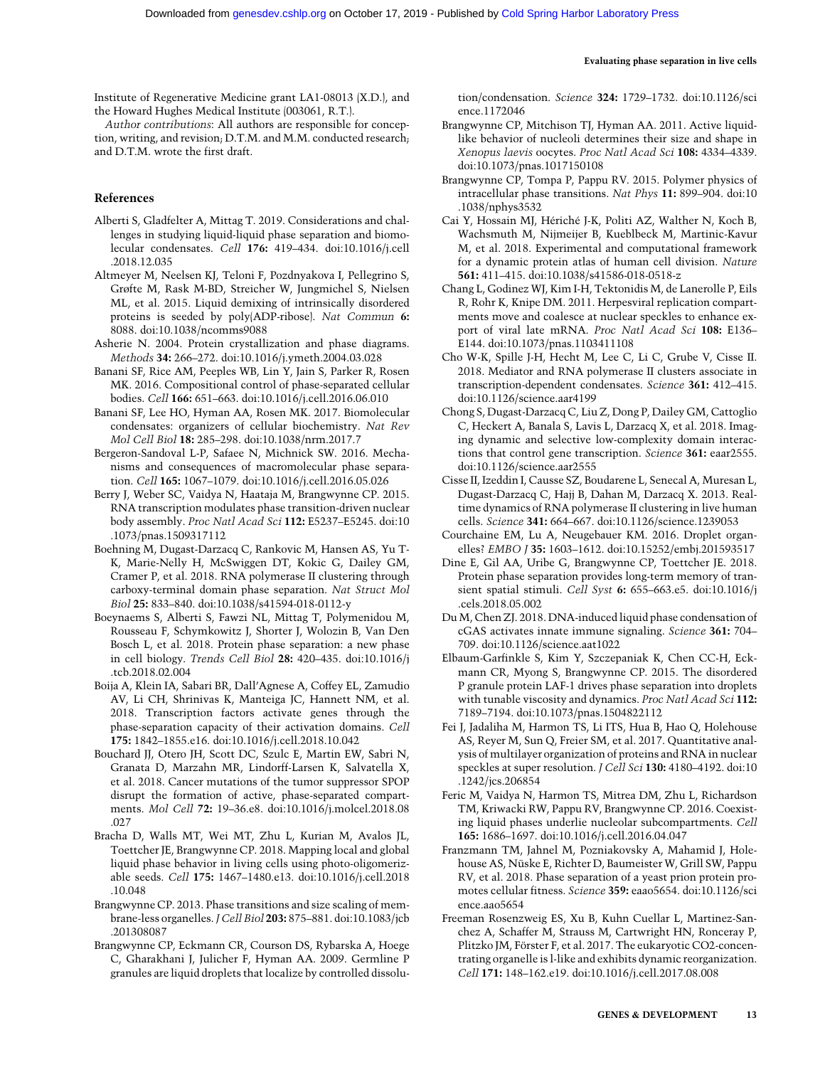Institute of Regenerative Medicine grant LA1-08013 (X.D.), and the Howard Hughes Medical Institute (003061, R.T.).

Author contributions: All authors are responsible for conception, writing, and revision; D.T.M. and M.M. conducted research; and D.T.M. wrote the first draft.

#### References

- Alberti S, Gladfelter A, Mittag T. 2019. Considerations and challenges in studying liquid-liquid phase separation and biomolecular condensates. Cell 176: 419–434. doi:10.1016/j.cell .2018.12.035
- Altmeyer M, Neelsen KJ, Teloni F, Pozdnyakova I, Pellegrino S, Grøfte M, Rask M-BD, Streicher W, Jungmichel S, Nielsen ML, et al. 2015. Liquid demixing of intrinsically disordered proteins is seeded by poly(ADP-ribose). Nat Commun 6: 8088. doi:10.1038/ncomms9088
- Asherie N. 2004. Protein crystallization and phase diagrams. Methods 34: 266–272. doi:10.1016/j.ymeth.2004.03.028
- Banani SF, Rice AM, Peeples WB, Lin Y, Jain S, Parker R, Rosen MK. 2016. Compositional control of phase-separated cellular bodies. Cell 166: 651–663. doi:10.1016/j.cell.2016.06.010
- Banani SF, Lee HO, Hyman AA, Rosen MK. 2017. Biomolecular condensates: organizers of cellular biochemistry. Nat Rev Mol Cell Biol 18: 285–298. doi:10.1038/nrm.2017.7
- Bergeron-Sandoval L-P, Safaee N, Michnick SW. 2016. Mechanisms and consequences of macromolecular phase separation. Cell 165: 1067–1079. doi:10.1016/j.cell.2016.05.026
- Berry J, Weber SC, Vaidya N, Haataja M, Brangwynne CP. 2015. RNA transcription modulates phase transition-driven nuclear body assembly. Proc Natl Acad Sci 112: E5237–E5245. doi:10 .1073/pnas.1509317112
- Boehning M, Dugast-Darzacq C, Rankovic M, Hansen AS, Yu T-K, Marie-Nelly H, McSwiggen DT, Kokic G, Dailey GM, Cramer P, et al. 2018. RNA polymerase II clustering through carboxy-terminal domain phase separation. Nat Struct Mol Biol 25: 833–840. doi:10.1038/s41594-018-0112-y
- Boeynaems S, Alberti S, Fawzi NL, Mittag T, Polymenidou M, Rousseau F, Schymkowitz J, Shorter J, Wolozin B, Van Den Bosch L, et al. 2018. Protein phase separation: a new phase in cell biology. Trends Cell Biol 28: 420–435. doi:10.1016/j .tcb.2018.02.004
- Boija A, Klein IA, Sabari BR, Dall'Agnese A, Coffey EL, Zamudio AV, Li CH, Shrinivas K, Manteiga JC, Hannett NM, et al. 2018. Transcription factors activate genes through the phase-separation capacity of their activation domains. Cell 175: 1842–1855.e16. doi:10.1016/j.cell.2018.10.042
- Bouchard JJ, Otero JH, Scott DC, Szulc E, Martin EW, Sabri N, Granata D, Marzahn MR, Lindorff-Larsen K, Salvatella X, et al. 2018. Cancer mutations of the tumor suppressor SPOP disrupt the formation of active, phase-separated compartments. Mol Cell 72: 19–36.e8. doi:10.1016/j.molcel.2018.08 .027
- Bracha D, Walls MT, Wei MT, Zhu L, Kurian M, Avalos JL, Toettcher JE, Brangwynne CP. 2018. Mapping local and global liquid phase behavior in living cells using photo-oligomerizable seeds. Cell 175: 1467–1480.e13. doi:10.1016/j.cell.2018 .10.048
- Brangwynne CP. 2013. Phase transitions and size scaling of membrane-less organelles. J Cell Biol 203: 875–881. doi:10.1083/jcb .201308087
- Brangwynne CP, Eckmann CR, Courson DS, Rybarska A, Hoege C, Gharakhani J, Julicher F, Hyman AA. 2009. Germline P granules are liquid droplets that localize by controlled dissolu-

tion/condensation. Science 324: 1729–1732. doi:10.1126/sci ence.1172046

- Brangwynne CP, Mitchison TJ, Hyman AA. 2011. Active liquidlike behavior of nucleoli determines their size and shape in Xenopus laevis oocytes. Proc Natl Acad Sci 108: 4334–4339. doi:10.1073/pnas.1017150108
- Brangwynne CP, Tompa P, Pappu RV. 2015. Polymer physics of intracellular phase transitions. Nat Phys 11: 899–904. doi:10 .1038/nphys3532
- Cai Y, Hossain MJ, Hériché J-K, Politi AZ, Walther N, Koch B, Wachsmuth M, Nijmeijer B, Kueblbeck M, Martinic-Kavur M, et al. 2018. Experimental and computational framework for a dynamic protein atlas of human cell division. Nature 561: 411–415. doi:10.1038/s41586-018-0518-z
- Chang L, Godinez WJ, Kim I-H, Tektonidis M, de Lanerolle P, Eils R, Rohr K, Knipe DM. 2011. Herpesviral replication compartments move and coalesce at nuclear speckles to enhance export of viral late mRNA. Proc Natl Acad Sci 108: E136– E144. doi:10.1073/pnas.1103411108
- Cho W-K, Spille J-H, Hecht M, Lee C, Li C, Grube V, Cisse II. 2018. Mediator and RNA polymerase II clusters associate in transcription-dependent condensates. Science 361: 412–415. doi:10.1126/science.aar4199
- Chong S, Dugast-Darzacq C, Liu Z, Dong P, Dailey GM, Cattoglio C, Heckert A, Banala S, Lavis L, Darzacq X, et al. 2018. Imaging dynamic and selective low-complexity domain interactions that control gene transcription. Science 361: eaar2555. doi:10.1126/science.aar2555
- Cisse II, Izeddin I, Causse SZ, Boudarene L, Senecal A, Muresan L, Dugast-Darzacq C, Hajj B, Dahan M, Darzacq X. 2013. Realtime dynamics of RNA polymerase II clustering in live human cells. Science 341: 664–667. doi:10.1126/science.1239053
- Courchaine EM, Lu A, Neugebauer KM. 2016. Droplet organelles? EMBO J 35: 1603–1612. doi:10.15252/embj.201593517
- Dine E, Gil AA, Uribe G, Brangwynne CP, Toettcher JE. 2018. Protein phase separation provides long-term memory of transient spatial stimuli. Cell Syst 6: 655–663.e5. doi:10.1016/j .cels.2018.05.002
- Du M, Chen ZJ. 2018. DNA-induced liquid phase condensation of cGAS activates innate immune signaling. Science 361: 704– 709. doi:10.1126/science.aat1022
- Elbaum-Garfinkle S, Kim Y, Szczepaniak K, Chen CC-H, Eckmann CR, Myong S, Brangwynne CP. 2015. The disordered P granule protein LAF-1 drives phase separation into droplets with tunable viscosity and dynamics. Proc Natl Acad Sci 112: 7189–7194. doi:10.1073/pnas.1504822112
- Fei J, Jadaliha M, Harmon TS, Li ITS, Hua B, Hao Q, Holehouse AS, Reyer M, Sun Q, Freier SM, et al. 2017. Quantitative analysis of multilayer organization of proteins and RNA in nuclear speckles at super resolution. J Cell Sci 130: 4180–4192. doi:10 .1242/jcs.206854
- Feric M, Vaidya N, Harmon TS, Mitrea DM, Zhu L, Richardson TM, Kriwacki RW, Pappu RV, Brangwynne CP. 2016. Coexisting liquid phases underlie nucleolar subcompartments. Cell 165: 1686–1697. doi:10.1016/j.cell.2016.04.047
- Franzmann TM, Jahnel M, Pozniakovsky A, Mahamid J, Holehouse AS, Nüske E, Richter D, Baumeister W, Grill SW, Pappu RV, et al. 2018. Phase separation of a yeast prion protein promotes cellular fitness. Science 359: eaao5654. doi:10.1126/sci ence.aao5654
- Freeman Rosenzweig ES, Xu B, Kuhn Cuellar L, Martinez-Sanchez A, Schaffer M, Strauss M, Cartwright HN, Ronceray P, Plitzko JM, Förster F, et al. 2017. The eukaryotic CO2-concentrating organelle is l-like and exhibits dynamic reorganization. Cell 171: 148–162.e19. doi:10.1016/j.cell.2017.08.008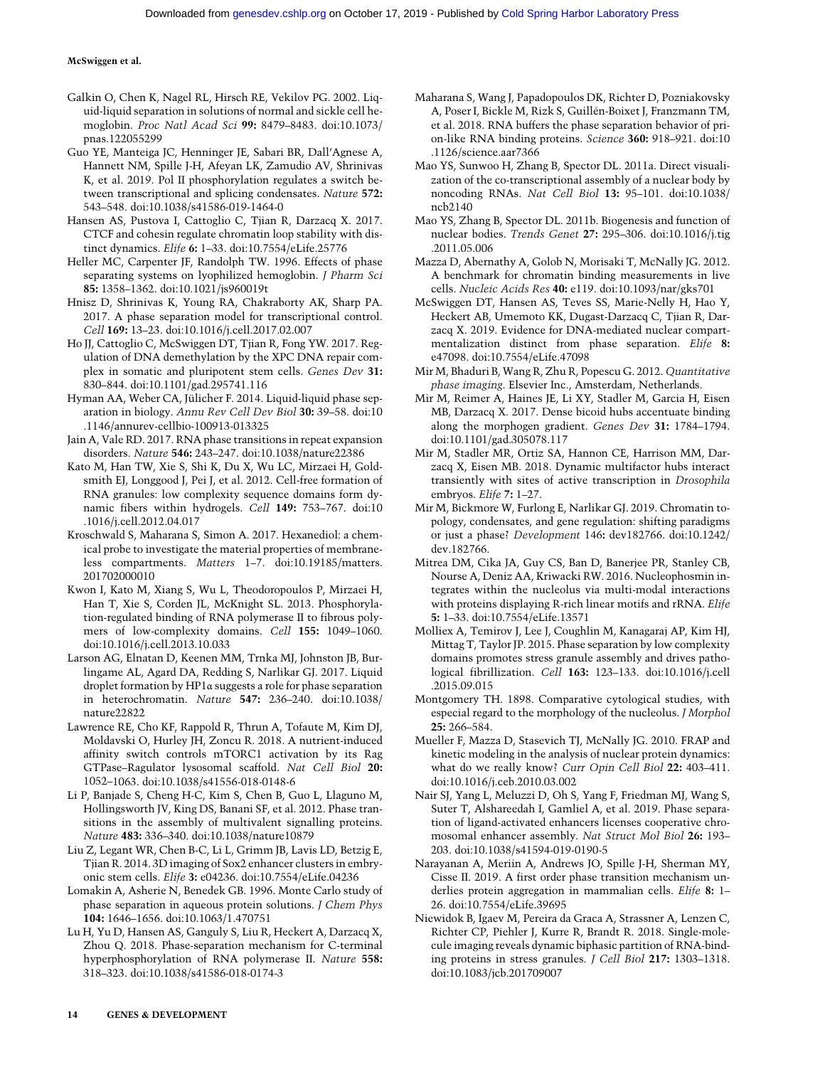- Galkin O, Chen K, Nagel RL, Hirsch RE, Vekilov PG. 2002. Liquid-liquid separation in solutions of normal and sickle cell hemoglobin. Proc Natl Acad Sci 99: 8479–8483. doi:10.1073/ pnas.122055299
- Guo YE, Manteiga JC, Henninger JE, Sabari BR, Dall'Agnese A, Hannett NM, Spille J-H, Afeyan LK, Zamudio AV, Shrinivas K, et al. 2019. Pol II phosphorylation regulates a switch between transcriptional and splicing condensates. Nature 572: 543–548. doi:10.1038/s41586-019-1464-0
- Hansen AS, Pustova I, Cattoglio C, Tjian R, Darzacq X. 2017. CTCF and cohesin regulate chromatin loop stability with distinct dynamics. Elife 6: 1–33. doi:10.7554/eLife.25776
- Heller MC, Carpenter JF, Randolph TW. 1996. Effects of phase separating systems on lyophilized hemoglobin. *J Pharm Sci* 85: 1358–1362. doi:10.1021/js960019t
- Hnisz D, Shrinivas K, Young RA, Chakraborty AK, Sharp PA. 2017. A phase separation model for transcriptional control. Cell 169: 13–23. doi:10.1016/j.cell.2017.02.007
- Ho JJ, Cattoglio C, McSwiggen DT, Tjian R, Fong YW. 2017. Regulation of DNA demethylation by the XPC DNA repair complex in somatic and pluripotent stem cells. Genes Dev 31: 830–844. doi:10.1101/gad.295741.116
- Hyman AA, Weber CA, Jülicher F. 2014. Liquid-liquid phase separation in biology. Annu Rev Cell Dev Biol 30: 39–58. doi:10 .1146/annurev-cellbio-100913-013325
- Jain A, Vale RD. 2017. RNA phase transitions in repeat expansion disorders. Nature 546: 243–247. doi:10.1038/nature22386
- Kato M, Han TW, Xie S, Shi K, Du X, Wu LC, Mirzaei H, Goldsmith EJ, Longgood J, Pei J, et al. 2012. Cell-free formation of RNA granules: low complexity sequence domains form dynamic fibers within hydrogels. Cell 149: 753–767. doi:10 .1016/j.cell.2012.04.017
- Kroschwald S, Maharana S, Simon A. 2017. Hexanediol: a chemical probe to investigate the material properties of membraneless compartments. Matters 1–7. doi:10.19185/matters. 201702000010
- Kwon I, Kato M, Xiang S, Wu L, Theodoropoulos P, Mirzaei H, Han T, Xie S, Corden JL, McKnight SL. 2013. Phosphorylation-regulated binding of RNA polymerase II to fibrous polymers of low-complexity domains. Cell 155: 1049–1060. doi:10.1016/j.cell.2013.10.033
- Larson AG, Elnatan D, Keenen MM, Trnka MJ, Johnston JB, Burlingame AL, Agard DA, Redding S, Narlikar GJ. 2017. Liquid droplet formation by HP1α suggests a role for phase separation in heterochromatin. Nature 547: 236–240. doi:10.1038/ nature22822
- Lawrence RE, Cho KF, Rappold R, Thrun A, Tofaute M, Kim DJ, Moldavski O, Hurley JH, Zoncu R. 2018. A nutrient-induced affinity switch controls mTORC1 activation by its Rag GTPase–Ragulator lysosomal scaffold. Nat Cell Biol 20: 1052–1063. doi:10.1038/s41556-018-0148-6
- Li P, Banjade S, Cheng H-C, Kim S, Chen B, Guo L, Llaguno M, Hollingsworth JV, King DS, Banani SF, et al. 2012. Phase transitions in the assembly of multivalent signalling proteins. Nature 483: 336–340. doi:10.1038/nature10879
- Liu Z, Legant WR, Chen B-C, Li L, Grimm JB, Lavis LD, Betzig E, Tjian R. 2014. 3D imaging of Sox2 enhancer clusters in embryonic stem cells. Elife 3: e04236. doi:10.7554/eLife.04236
- Lomakin A, Asherie N, Benedek GB. 1996. Monte Carlo study of phase separation in aqueous protein solutions. J Chem Phys 104: 1646–1656. doi:10.1063/1.470751
- Lu H, Yu D, Hansen AS, Ganguly S, Liu R, Heckert A, Darzacq X, Zhou Q. 2018. Phase-separation mechanism for C-terminal hyperphosphorylation of RNA polymerase II. Nature 558: 318–323. doi:10.1038/s41586-018-0174-3
- Maharana S, Wang J, Papadopoulos DK, Richter D, Pozniakovsky A, Poser I, Bickle M, Rizk S, Guillén-Boixet J, Franzmann TM, et al. 2018. RNA buffers the phase separation behavior of prion-like RNA binding proteins. Science 360: 918–921. doi:10 .1126/science.aar7366
- Mao YS, Sunwoo H, Zhang B, Spector DL. 2011a. Direct visualization of the co-transcriptional assembly of a nuclear body by noncoding RNAs. Nat Cell Biol 13: 95–101. doi:10.1038/ ncb2140
- Mao YS, Zhang B, Spector DL. 2011b. Biogenesis and function of nuclear bodies. Trends Genet 27: 295–306. doi:10.1016/j.tig .2011.05.006
- Mazza D, Abernathy A, Golob N, Morisaki T, McNally JG. 2012. A benchmark for chromatin binding measurements in live cells. Nucleic Acids Res 40: e119. doi:10.1093/nar/gks701
- McSwiggen DT, Hansen AS, Teves SS, Marie-Nelly H, Hao Y, Heckert AB, Umemoto KK, Dugast-Darzacq C, Tjian R, Darzacq X. 2019. Evidence for DNA-mediated nuclear compartmentalization distinct from phase separation. Elife 8: e47098. doi:10.7554/eLife.47098
- Mir M, Bhaduri B, Wang R, Zhu R, Popescu G. 2012. Quantitative phase imaging. Elsevier Inc., Amsterdam, Netherlands.
- Mir M, Reimer A, Haines JE, Li XY, Stadler M, Garcia H, Eisen MB, Darzacq X. 2017. Dense bicoid hubs accentuate binding along the morphogen gradient. Genes Dev 31: 1784–1794. doi:10.1101/gad.305078.117
- Mir M, Stadler MR, Ortiz SA, Hannon CE, Harrison MM, Darzacq X, Eisen MB. 2018. Dynamic multifactor hubs interact transiently with sites of active transcription in Drosophila embryos. Elife 7: 1–27.
- Mir M, Bickmore W, Furlong E, Narlikar GJ. 2019. Chromatin topology, condensates, and gene regulation: shifting paradigms or just a phase? Development 146: dev182766. doi:10.1242/ dev.182766.
- Mitrea DM, Cika JA, Guy CS, Ban D, Banerjee PR, Stanley CB, Nourse A, Deniz AA, Kriwacki RW. 2016. Nucleophosmin integrates within the nucleolus via multi-modal interactions with proteins displaying R-rich linear motifs and rRNA. Elife 5: 1–33. doi:10.7554/eLife.13571
- Molliex A, Temirov J, Lee J, Coughlin M, Kanagaraj AP, Kim HJ, Mittag T, Taylor JP. 2015. Phase separation by low complexity domains promotes stress granule assembly and drives pathological fibrillization. Cell 163: 123–133. doi:10.1016/j.cell .2015.09.015
- Montgomery TH. 1898. Comparative cytological studies, with especial regard to the morphology of the nucleolus. J Morphol 25: 266–584.
- Mueller F, Mazza D, Stasevich TJ, McNally JG. 2010. FRAP and kinetic modeling in the analysis of nuclear protein dynamics: what do we really know? Curr Opin Cell Biol 22: 403-411. doi:10.1016/j.ceb.2010.03.002
- Nair SJ, Yang L, Meluzzi D, Oh S, Yang F, Friedman MJ, Wang S, Suter T, Alshareedah I, Gamliel A, et al. 2019. Phase separation of ligand-activated enhancers licenses cooperative chromosomal enhancer assembly. Nat Struct Mol Biol 26: 193– 203. doi:10.1038/s41594-019-0190-5
- Narayanan A, Meriin A, Andrews JO, Spille J-H, Sherman MY, Cisse II. 2019. A first order phase transition mechanism underlies protein aggregation in mammalian cells. Elife 8: 1– 26. doi:10.7554/eLife.39695
- Niewidok B, Igaev M, Pereira da Graca A, Strassner A, Lenzen C, Richter CP, Piehler J, Kurre R, Brandt R. 2018. Single-molecule imaging reveals dynamic biphasic partition of RNA-binding proteins in stress granules. J Cell Biol 217: 1303–1318. doi:10.1083/jcb.201709007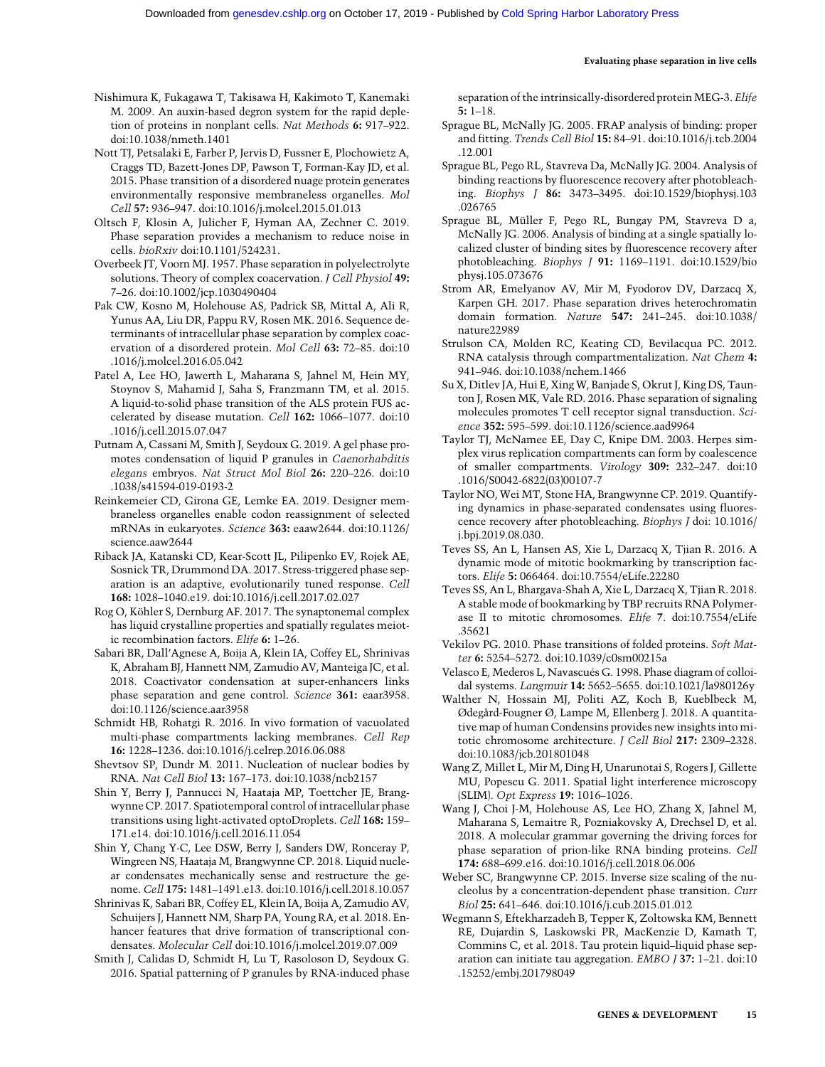Nishimura K, Fukagawa T, Takisawa H, Kakimoto T, Kanemaki M. 2009. An auxin-based degron system for the rapid depletion of proteins in nonplant cells. Nat Methods 6: 917–922. doi:10.1038/nmeth.1401

Nott TJ, Petsalaki E, Farber P, Jervis D, Fussner E, Plochowietz A, Craggs TD, Bazett-Jones DP, Pawson T, Forman-Kay JD, et al. 2015. Phase transition of a disordered nuage protein generates environmentally responsive membraneless organelles. Mol Cell 57: 936–947. doi:10.1016/j.molcel.2015.01.013

- Oltsch F, Klosin A, Julicher F, Hyman AA, Zechner C. 2019. Phase separation provides a mechanism to reduce noise in cells. bioRxiv doi:10.1101/524231.
- Overbeek JT, Voorn MJ. 1957. Phase separation in polyelectrolyte solutions. Theory of complex coacervation. *J Cell Physiol* 49: 7–26. doi:10.1002/jcp.1030490404

Pak CW, Kosno M, Holehouse AS, Padrick SB, Mittal A, Ali R, Yunus AA, Liu DR, Pappu RV, Rosen MK. 2016. Sequence determinants of intracellular phase separation by complex coacervation of a disordered protein. Mol Cell 63: 72–85. doi:10 .1016/j.molcel.2016.05.042

- Patel A, Lee HO, Jawerth L, Maharana S, Jahnel M, Hein MY, Stoynov S, Mahamid J, Saha S, Franzmann TM, et al. 2015. A liquid-to-solid phase transition of the ALS protein FUS accelerated by disease mutation. Cell 162: 1066–1077. doi:10 .1016/j.cell.2015.07.047
- Putnam A, Cassani M, Smith J, Seydoux G. 2019. A gel phase promotes condensation of liquid P granules in Caenorhabditis elegans embryos. Nat Struct Mol Biol 26: 220–226. doi:10 .1038/s41594-019-0193-2

Reinkemeier CD, Girona GE, Lemke EA. 2019. Designer membraneless organelles enable codon reassignment of selected mRNAs in eukaryotes. Science 363: eaaw2644. doi:10.1126/ science.aaw2644

Riback JA, Katanski CD, Kear-Scott JL, Pilipenko EV, Rojek AE, Sosnick TR, Drummond DA. 2017. Stress-triggered phase separation is an adaptive, evolutionarily tuned response. Cell 168: 1028–1040.e19. doi:10.1016/j.cell.2017.02.027

Rog O, Köhler S, Dernburg AF. 2017. The synaptonemal complex has liquid crystalline properties and spatially regulates meiotic recombination factors. Elife 6: 1–26.

- Sabari BR, Dall'Agnese A, Boija A, Klein IA, Coffey EL, Shrinivas K, Abraham BJ, Hannett NM, Zamudio AV, Manteiga JC, et al. 2018. Coactivator condensation at super-enhancers links phase separation and gene control. Science 361: eaar3958. doi:10.1126/science.aar3958
- Schmidt HB, Rohatgi R. 2016. In vivo formation of vacuolated multi-phase compartments lacking membranes. Cell Rep 16: 1228–1236. doi:10.1016/j.celrep.2016.06.088

Shevtsov SP, Dundr M. 2011. Nucleation of nuclear bodies by RNA. Nat Cell Biol 13: 167–173. doi:10.1038/ncb2157

Shin Y, Berry J, Pannucci N, Haataja MP, Toettcher JE, Brangwynne CP. 2017. Spatiotemporal control of intracellular phase transitions using light-activated optoDroplets. Cell 168: 159– 171.e14. doi:10.1016/j.cell.2016.11.054

Shin Y, Chang Y-C, Lee DSW, Berry J, Sanders DW, Ronceray P, Wingreen NS, Haataja M, Brangwynne CP. 2018. Liquid nuclear condensates mechanically sense and restructure the genome. Cell 175: 1481–1491.e13. doi:10.1016/j.cell.2018.10.057

Shrinivas K, Sabari BR, Coffey EL, Klein IA, Boija A, Zamudio AV, Schuijers J, Hannett NM, Sharp PA, Young RA, et al. 2018. Enhancer features that drive formation of transcriptional condensates. Molecular Cell doi:10.1016/j.molcel.2019.07.009

Smith J, Calidas D, Schmidt H, Lu T, Rasoloson D, Seydoux G. 2016. Spatial patterning of P granules by RNA-induced phase separation of the intrinsically-disordered protein MEG-3. Elife 5: 1–18.

- Sprague BL, McNally JG. 2005. FRAP analysis of binding: proper and fitting. Trends Cell Biol 15: 84–91. doi:10.1016/j.tcb.2004 .12.001
- Sprague BL, Pego RL, Stavreva Da, McNally JG. 2004. Analysis of binding reactions by fluorescence recovery after photobleaching. Biophys J 86: 3473–3495. doi:10.1529/biophysj.103 .026765
- Sprague BL, Müller F, Pego RL, Bungay PM, Stavreva D a, McNally JG. 2006. Analysis of binding at a single spatially localized cluster of binding sites by fluorescence recovery after photobleaching. Biophys J 91: 1169–1191. doi:10.1529/bio physj.105.073676
- Strom AR, Emelyanov AV, Mir M, Fyodorov DV, Darzacq X, Karpen GH. 2017. Phase separation drives heterochromatin domain formation. Nature 547: 241–245. doi:10.1038/ nature22989
- Strulson CA, Molden RC, Keating CD, Bevilacqua PC. 2012. RNA catalysis through compartmentalization. Nat Chem 4: 941–946. doi:10.1038/nchem.1466
- Su X, Ditlev JA, Hui E, Xing W, Banjade S, Okrut J, King DS, Taunton J, Rosen MK, Vale RD. 2016. Phase separation of signaling molecules promotes T cell receptor signal transduction. Science 352: 595–599. doi:10.1126/science.aad9964
- Taylor TJ, McNamee EE, Day C, Knipe DM. 2003. Herpes simplex virus replication compartments can form by coalescence of smaller compartments. Virology 309: 232–247. doi:10 .1016/S0042-6822(03)00107-7
- Taylor NO, Wei MT, Stone HA, Brangwynne CP. 2019. Quantifying dynamics in phase-separated condensates using fluorescence recovery after photobleaching. Biophys J doi: 10.1016/ j.bpj.2019.08.030.
- Teves SS, An L, Hansen AS, Xie L, Darzacq X, Tjian R. 2016. A dynamic mode of mitotic bookmarking by transcription factors. Elife 5: 066464. doi:10.7554/eLife.22280
- Teves SS, An L, Bhargava-Shah A, Xie L, Darzacq X, Tjian R. 2018. A stable mode of bookmarking by TBP recruits RNA Polymerase II to mitotic chromosomes. Elife 7. doi:10.7554/eLife .35621
- Vekilov PG. 2010. Phase transitions of folded proteins. Soft Matter 6: 5254–5272. doi:10.1039/c0sm00215a
- Velasco E, Mederos L, Navascués G. 1998. Phase diagram of colloidal systems. Langmuir 14: 5652–5655. doi:10.1021/la980126y
- Walther N, Hossain MJ, Politi AZ, Koch B, Kueblbeck M, Ødegård-Fougner Ø, Lampe M, Ellenberg J. 2018. A quantitative map of human Condensins provides new insights into mitotic chromosome architecture. J Cell Biol 217: 2309–2328. doi:10.1083/jcb.201801048
- Wang Z, Millet L, Mir M, Ding H, Unarunotai S, Rogers J, Gillette MU, Popescu G. 2011. Spatial light interference microscopy (SLIM). Opt Express 19: 1016–1026.
- Wang J, Choi J-M, Holehouse AS, Lee HO, Zhang X, Jahnel M, Maharana S, Lemaitre R, Pozniakovsky A, Drechsel D, et al. 2018. A molecular grammar governing the driving forces for phase separation of prion-like RNA binding proteins. Cell 174: 688–699.e16. doi:10.1016/j.cell.2018.06.006
- Weber SC, Brangwynne CP. 2015. Inverse size scaling of the nucleolus by a concentration-dependent phase transition. Curr Biol 25: 641–646. doi:10.1016/j.cub.2015.01.012
- Wegmann S, Eftekharzadeh B, Tepper K, Zoltowska KM, Bennett RE, Dujardin S, Laskowski PR, MacKenzie D, Kamath T, Commins C, et al. 2018. Tau protein liquid–liquid phase separation can initiate tau aggregation. EMBO J 37: 1–21. doi:10 .15252/embj.201798049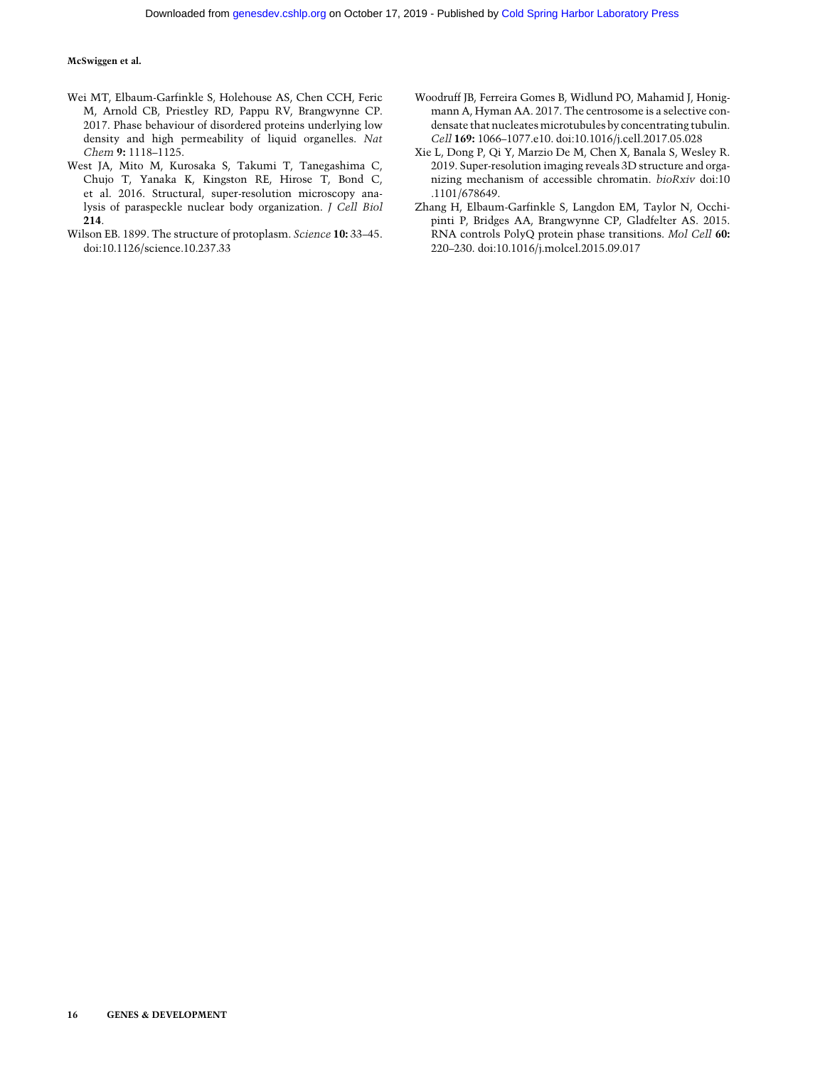- Wei MT, Elbaum-Garfinkle S, Holehouse AS, Chen CCH, Feric M, Arnold CB, Priestley RD, Pappu RV, Brangwynne CP. 2017. Phase behaviour of disordered proteins underlying low density and high permeability of liquid organelles. Nat Chem 9: 1118–1125.
- West JA, Mito M, Kurosaka S, Takumi T, Tanegashima C, Chujo T, Yanaka K, Kingston RE, Hirose T, Bond C, et al. 2016. Structural, super-resolution microscopy analysis of paraspeckle nuclear body organization. J Cell Biol 214.
- Wilson EB. 1899. The structure of protoplasm. Science 10: 33–45. doi:10.1126/science.10.237.33
- Woodruff JB, Ferreira Gomes B, Widlund PO, Mahamid J, Honigmann A, Hyman AA. 2017. The centrosome is a selective condensate that nucleates microtubules by concentrating tubulin. Cell 169: 1066–1077.e10. doi:10.1016/j.cell.2017.05.028
- Xie L, Dong P, Qi Y, Marzio De M, Chen X, Banala S, Wesley R. 2019. Super-resolution imaging reveals 3D structure and organizing mechanism of accessible chromatin. bioRxiv doi:10 .1101/678649.
- Zhang H, Elbaum-Garfinkle S, Langdon EM, Taylor N, Occhipinti P, Bridges AA, Brangwynne CP, Gladfelter AS. 2015. RNA controls PolyQ protein phase transitions. Mol Cell 60: 220–230. doi:10.1016/j.molcel.2015.09.017